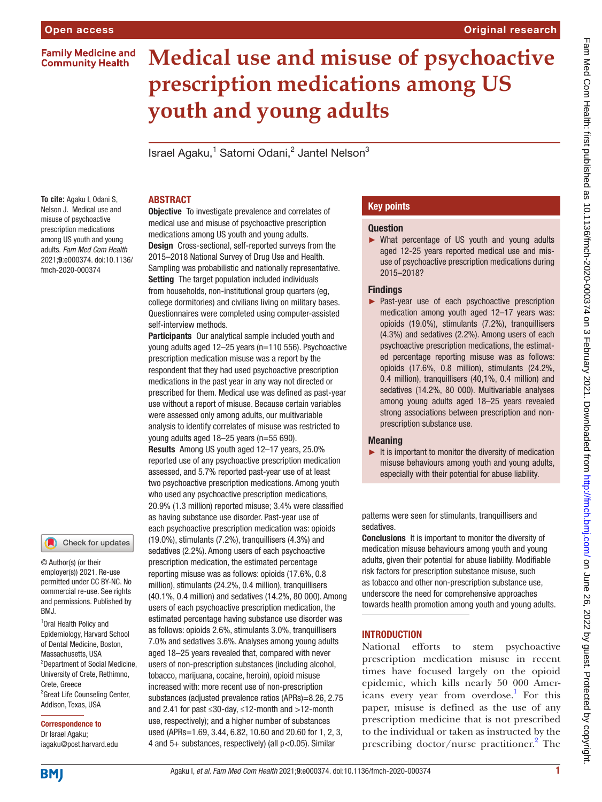**Family Medicine and Community Health** 

# **Medical use and misuse of psychoactive prescription medications among US youth and young adults**

Israel Agaku,<sup>1</sup> Satomi Odani,<sup>2</sup> Jantel Nelson<sup>3</sup>

**To cite:** Agaku I, Odani S, Nelson J. Medical use and misuse of psychoactive prescription medications among US youth and young adults. *Fam Med Com Health* 2021;9:e000374. doi:10.1136/ fmch-2020-000374

#### Check for updates

© Author(s) (or their employer(s)) 2021. Re-use permitted under CC BY-NC. No commercial re-use. See rights and permissions. Published by BMJ.

<sup>1</sup> Oral Health Policy and Epidemiology, Harvard School of Dental Medicine, Boston, Massachusetts, USA 2 Department of Social Medicine, University of Crete, Rethimno, Crete, Greece <sup>3</sup> Great Life Counseling Center, Addison, Texas, USA

# Correspondence to

Dr Israel Agaku; iagaku@post.harvard.edu

# ABSTRACT

Objective To investigate prevalence and correlates of medical use and misuse of psychoactive prescription medications among US youth and young adults. Design Cross-sectional, self-reported surveys from the 2015–2018 National Survey of Drug Use and Health. Sampling was probabilistic and nationally representative. Setting The target population included individuals from households, non-institutional group quarters (eg, college dormitories) and civilians living on military bases. Questionnaires were completed using computer-assisted self-interview methods.

Participants Our analytical sample included youth and young adults aged 12–25 years (n=110 556). Psychoactive prescription medication misuse was a report by the respondent that they had used psychoactive prescription medications in the past year in any way not directed or prescribed for them. Medical use was defined as past-year use without a report of misuse. Because certain variables were assessed only among adults, our multivariable analysis to identify correlates of misuse was restricted to young adults aged 18–25 years (n=55 690). Results Among US youth aged 12–17 years, 25.0% reported use of any psychoactive prescription medication assessed, and 5.7% reported past-year use of at least two psychoactive prescription medications. Among youth who used any psychoactive prescription medications, 20.9% (1.3 million) reported misuse; 3.4% were classified as having substance use disorder. Past-year use of each psychoactive prescription medication was: opioids (19.0%), stimulants (7.2%), tranquillisers (4.3%) and sedatives (2.2%). Among users of each psychoactive prescription medication, the estimated percentage reporting misuse was as follows: opioids (17.6%, 0.8 million), stimulants (24.2%, 0.4 million), tranquillisers (40.1%, 0.4 million) and sedatives (14.2%, 80 000). Among users of each psychoactive prescription medication, the estimated percentage having substance use disorder was as follows: opioids 2.6%, stimulants 3.0%, tranquillisers 7.0% and sedatives 3.6%. Analyses among young adults aged 18–25 years revealed that, compared with never users of non-prescription substances (including alcohol, tobacco, marijuana, cocaine, heroin), opioid misuse increased with: more recent use of non-prescription substances (adjusted prevalence ratios (APRs)=8.26, 2.75 and 2.41 for past ≤30-day, ≤12-month and >12-month use, respectively); and a higher number of substances used (APRs=1.69, 3.44, 6.82, 10.60 and 20.60 for 1, 2, 3, 4 and 5+ substances, respectively) (all p<0.05). Similar

# Key points

#### **Question**

► What percentage of US youth and young adults aged 12-25 years reported medical use and misuse of psychoactive prescription medications during 2015–2018?

#### **Findings**

► Past-year use of each psychoactive prescription medication among youth aged 12–17 years was: opioids (19.0%), stimulants (7.2%), tranquillisers (4.3%) and sedatives (2.2%). Among users of each psychoactive prescription medications, the estimated percentage reporting misuse was as follows: opioids (17.6%, 0.8 million), stimulants (24.2%, 0.4 million), tranquillisers (40,1%, 0.4 million) and sedatives (14.2%, 80 000). Multivariable analyses among young adults aged 18–25 years revealed strong associations between prescription and nonprescription substance use.

#### Meaning

 $\blacktriangleright$  It is important to monitor the diversity of medication misuse behaviours among youth and young adults, especially with their potential for abuse liability.

patterns were seen for stimulants, tranquillisers and sedatives.

Conclusions It is important to monitor the diversity of medication misuse behaviours among youth and young adults, given their potential for abuse liability. Modifiable risk factors for prescription substance misuse, such as tobacco and other non-prescription substance use, underscore the need for comprehensive approaches towards health promotion among youth and young adults.

# **INTRODUCTION**

National efforts to stem psychoactive prescription medication misuse in recent times have focused largely on the opioid epidemic, which kills nearly 50 000 Americans every year from overdose.<sup>1</sup> For this paper, misuse is defined as the use of any prescription medicine that is not prescribed to the individual or taken as instructed by the prescribing doctor/nurse practitioner.<sup>[2](#page-16-1)</sup> The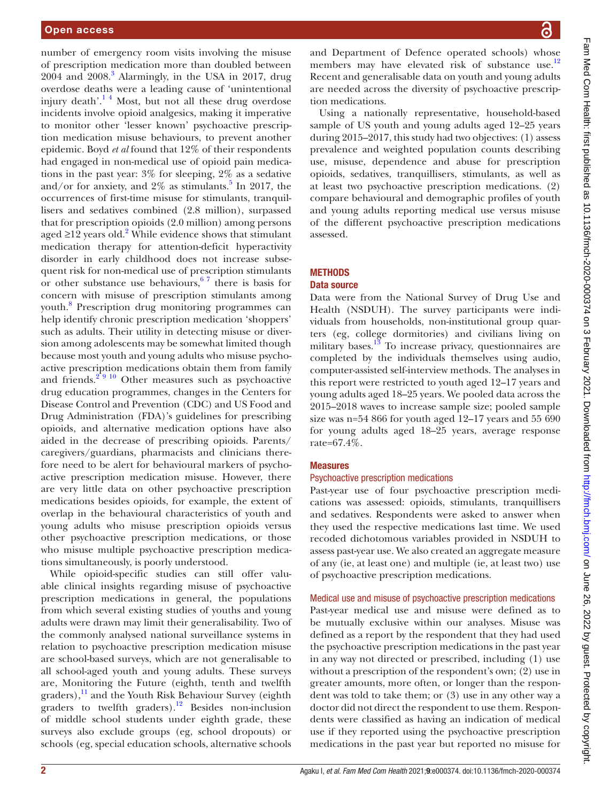number of emergency room visits involving the misuse of prescription medication more than doubled between 2004 and 2008.[3](#page-16-2) Alarmingly, in the USA in 2017, drug overdose deaths were a leading cause of 'unintentional injury death'.[1 4](#page-16-0) Most, but not all these drug overdose incidents involve opioid analgesics, making it imperative to monitor other 'lesser known' psychoactive prescription medication misuse behaviours, to prevent another epidemic. Boyd *et al* found that 12% of their respondents had engaged in non-medical use of opioid pain medications in the past year: 3% for sleeping, 2% as a sedative and/or for anxiety, and  $2\%$  as stimulants.<sup>[5](#page-16-3)</sup> In 2017, the occurrences of first-time misuse for stimulants, tranquillisers and sedatives combined (2.8 million), surpassed that for prescription opioids (2.0 million) among persons aged ≥1[2](#page-16-1) years old.<sup>2</sup> While evidence shows that stimulant medication therapy for attention-deficit hyperactivity disorder in early childhood does not increase subsequent risk for non-medical use of prescription stimulants or other substance use behaviours,  $67$  there is basis for concern with misuse of prescription stimulants among youth.[8](#page-16-5) Prescription drug monitoring programmes can help identify chronic prescription medication 'shoppers' such as adults. Their utility in detecting misuse or diversion among adolescents may be somewhat limited though because most youth and young adults who misuse psychoactive prescription medications obtain them from family and friends. $2^{9}$  10 Other measures such as psychoactive drug education programmes, changes in the Centers for Disease Control and Prevention (CDC) and US Food and Drug Administration (FDA)'s guidelines for prescribing opioids, and alternative medication options have also aided in the decrease of prescribing opioids. Parents/ caregivers/guardians, pharmacists and clinicians therefore need to be alert for behavioural markers of psychoactive prescription medication misuse. However, there are very little data on other psychoactive prescription medications besides opioids, for example, the extent of overlap in the behavioural characteristics of youth and young adults who misuse prescription opioids versus other psychoactive prescription medications, or those who misuse multiple psychoactive prescription medications simultaneously, is poorly understood.

While opioid-specific studies can still offer valuable clinical insights regarding misuse of psychoactive prescription medications in general, the populations from which several existing studies of youths and young adults were drawn may limit their generalisability. Two of the commonly analysed national surveillance systems in relation to psychoactive prescription medication misuse are school-based surveys, which are not generalisable to all school-aged youth and young adults. These surveys are, Monitoring the Future (eighth, tenth and twelfth graders),<sup>11</sup> and the Youth Risk Behaviour Survey (eighth graders to twelfth graders).<sup>12</sup> Besides non-inclusion of middle school students under eighth grade, these surveys also exclude groups (eg, school dropouts) or schools (eg, special education schools, alternative schools

and Department of Defence operated schools) whose members may have elevated risk of substance use.<sup>[12](#page-16-7)</sup> Recent and generalisable data on youth and young adults are needed across the diversity of psychoactive prescription medications.

Using a nationally representative, household-based sample of US youth and young adults aged 12–25 years during 2015–2017, this study had two objectives: (1) assess prevalence and weighted population counts describing use, misuse, dependence and abuse for prescription opioids, sedatives, tranquillisers, stimulants, as well as at least two psychoactive prescription medications. (2) compare behavioural and demographic profiles of youth and young adults reporting medical use versus misuse of the different psychoactive prescription medications assessed.

# **METHODS**

# Data source

Data were from the National Survey of Drug Use and Health (NSDUH). The survey participants were individuals from households, non-institutional group quarters (eg, college dormitories) and civilians living on military bases.<sup>13</sup> To increase privacy, questionnaires are completed by the individuals themselves using audio, computer-assisted self-interview methods. The analyses in this report were restricted to youth aged 12–17 years and young adults aged 18–25 years. We pooled data across the 2015–2018 waves to increase sample size; pooled sample size was n=54 866 for youth aged 12–17 years and 55 690 for young adults aged 18–25 years, average response rate=67.4%.

# Measures

# Psychoactive prescription medications

Past-year use of four psychoactive prescription medications was assessed: opioids, stimulants, tranquillisers and sedatives. Respondents were asked to answer when they used the respective medications last time. We used recoded dichotomous variables provided in NSDUH to assess past-year use. We also created an aggregate measure of any (ie, at least one) and multiple (ie, at least two) use of psychoactive prescription medications.

# Medical use and misuse of psychoactive prescription medications

Past-year medical use and misuse were defined as to be mutually exclusive within our analyses. Misuse was defined as a report by the respondent that they had used the psychoactive prescription medications in the past year in any way not directed or prescribed, including (1) use without a prescription of the respondent's own; (2) use in greater amounts, more often, or longer than the respondent was told to take them; or (3) use in any other way a doctor did not direct the respondent to use them. Respondents were classified as having an indication of medical use if they reported using the psychoactive prescription medications in the past year but reported no misuse for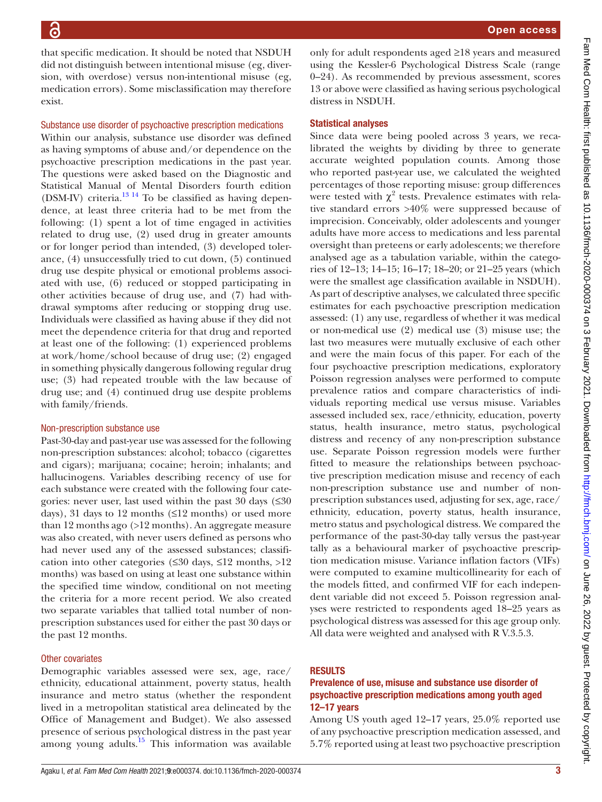that specific medication. It should be noted that NSDUH did not distinguish between intentional misuse (eg, diversion, with overdose) versus non-intentional misuse (eg, medication errors). Some misclassification may therefore exist.

#### Substance use disorder of psychoactive prescription medications

Within our analysis, substance use disorder was defined as having symptoms of abuse and/or dependence on the psychoactive prescription medications in the past year. The questions were asked based on the Diagnostic and Statistical Manual of Mental Disorders fourth edition (DSM-IV) criteria. $^{13}$ <sup>14</sup> To be classified as having dependence, at least three criteria had to be met from the following: (1) spent a lot of time engaged in activities related to drug use, (2) used drug in greater amounts or for longer period than intended, (3) developed tolerance, (4) unsuccessfully tried to cut down, (5) continued drug use despite physical or emotional problems associated with use, (6) reduced or stopped participating in other activities because of drug use, and (7) had withdrawal symptoms after reducing or stopping drug use. Individuals were classified as having abuse if they did not meet the dependence criteria for that drug and reported at least one of the following: (1) experienced problems at work/home/school because of drug use; (2) engaged in something physically dangerous following regular drug use; (3) had repeated trouble with the law because of drug use; and (4) continued drug use despite problems with family/friends.

#### Non-prescription substance use

Past-30-day and past-year use was assessed for the following non-prescription substances: alcohol; tobacco (cigarettes and cigars); marijuana; cocaine; heroin; inhalants; and hallucinogens. Variables describing recency of use for each substance were created with the following four categories: never user, last used within the past 30 days  $(\leq 30$ days), 31 days to 12 months  $(\leq 12 \text{ months})$  or used more than 12 months ago (>12 months). An aggregate measure was also created, with never users defined as persons who had never used any of the assessed substances; classification into other categories (≤30 days, ≤12 months, >12 months) was based on using at least one substance within the specified time window, conditional on not meeting the criteria for a more recent period. We also created two separate variables that tallied total number of nonprescription substances used for either the past 30 days or the past 12 months.

#### Other covariates

Demographic variables assessed were sex, age, race/ ethnicity, educational attainment, poverty status, health insurance and metro status (whether the respondent lived in a metropolitan statistical area delineated by the Office of Management and Budget). We also assessed presence of serious psychological distress in the past year among young adults. $15$  This information was available

only for adult respondents aged ≥18 years and measured using the Kessler-6 Psychological Distress Scale (range 0–24). As recommended by previous assessment, scores 13 or above were classified as having serious psychological distress in NSDUH.

#### Statistical analyses

Since data were being pooled across 3 years, we recalibrated the weights by dividing by three to generate accurate weighted population counts. Among those who reported past-year use, we calculated the weighted percentages of those reporting misuse: group differences were tested with  $\chi^2$  tests. Prevalence estimates with relative standard errors >40% were suppressed because of imprecision. Conceivably, older adolescents and younger adults have more access to medications and less parental oversight than preteens or early adolescents; we therefore analysed age as a tabulation variable, within the categories of 12–13; 14–15; 16–17; 18–20; or 21–25 years (which were the smallest age classification available in NSDUH). As part of descriptive analyses, we calculated three specific estimates for each psychoactive prescription medication assessed: (1) any use, regardless of whether it was medical or non-medical use (2) medical use (3) misuse use; the last two measures were mutually exclusive of each other and were the main focus of this paper. For each of the four psychoactive prescription medications, exploratory Poisson regression analyses were performed to compute prevalence ratios and compare characteristics of individuals reporting medical use versus misuse. Variables assessed included sex, race/ethnicity, education, poverty status, health insurance, metro status, psychological distress and recency of any non-prescription substance use. Separate Poisson regression models were further fitted to measure the relationships between psychoactive prescription medication misuse and recency of each non-prescription substance use and number of nonprescription substances used, adjusting for sex, age, race/ ethnicity, education, poverty status, health insurance, metro status and psychological distress. We compared the performance of the past-30-day tally versus the past-year tally as a behavioural marker of psychoactive prescription medication misuse. Variance inflation factors (VIFs) were computed to examine multicollinearity for each of the models fitted, and confirmed VIF for each independent variable did not exceed 5. Poisson regression analyses were restricted to respondents aged 18–25 years as psychological distress was assessed for this age group only. All data were weighted and analysed with R V.3.5.3.

#### RESULTS

#### Prevalence of use, misuse and substance use disorder of psychoactive prescription medications among youth aged 12–17 years

Among US youth aged 12–17 years, 25.0% reported use of any psychoactive prescription medication assessed, and 5.7% reported using at least two psychoactive prescription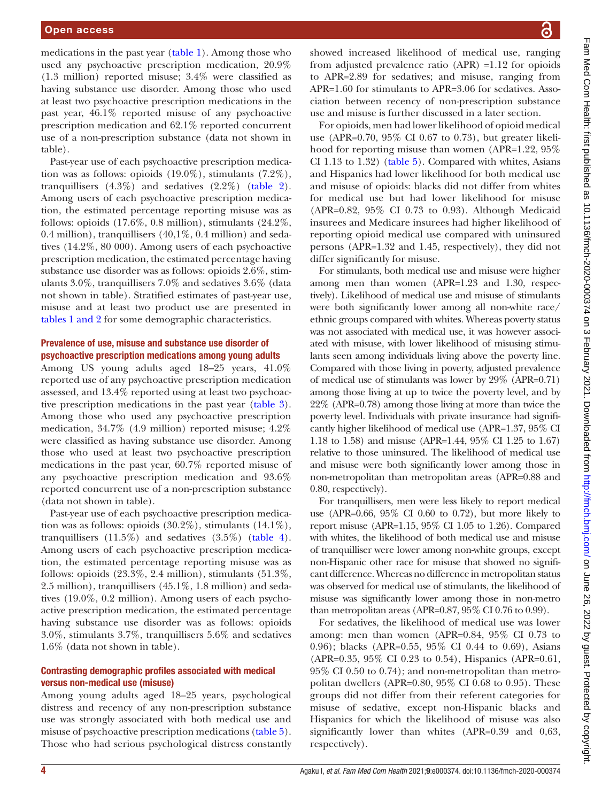medications in the past year [\(table](#page-4-0) 1). Among those who used any psychoactive prescription medication, 20.9% (1.3 million) reported misuse; 3.4% were classified as having substance use disorder. Among those who used at least two psychoactive prescription medications in the past year, 46.1% reported misuse of any psychoactive prescription medication and 62.1% reported concurrent use of a non-prescription substance (data not shown in table).

Past-year use of each psychoactive prescription medication was as follows: opioids (19.0%), stimulants (7.2%), tranquillisers  $(4.3\%)$  and sedatives  $(2.2\%)$  ([table](#page-6-0) 2). Among users of each psychoactive prescription medication, the estimated percentage reporting misuse was as follows: opioids (17.6%, 0.8 million), stimulants (24.2%, 0.4 million), tranquillisers  $(40.1\%, 0.4$  million) and sedatives (14.2%, 80 000). Among users of each psychoactive prescription medication, the estimated percentage having substance use disorder was as follows: opioids 2.6%, stimulants 3.0%, tranquillisers 7.0% and sedatives 3.6% (data not shown in table). Stratified estimates of past-year use, misuse and at least two product use are presented in tables [1 and 2](#page-4-0) for some demographic characteristics.

# Prevalence of use, misuse and substance use disorder of psychoactive prescription medications among young adults

Among US young adults aged 18–25 years, 41.0% reported use of any psychoactive prescription medication assessed, and 13.4% reported using at least two psychoactive prescription medications in the past year [\(table](#page-8-0) 3). Among those who used any psychoactive prescription medication, 34.7% (4.9 million) reported misuse; 4.2% were classified as having substance use disorder. Among those who used at least two psychoactive prescription medications in the past year, 60.7% reported misuse of any psychoactive prescription medication and 93.6% reported concurrent use of a non-prescription substance (data not shown in table).

Past-year use of each psychoactive prescription medication was as follows: opioids (30.2%), stimulants (14.1%), tranquillisers  $(11.5\%)$  and sedatives  $(3.5\%)$  ([table](#page-10-0) 4). Among users of each psychoactive prescription medication, the estimated percentage reporting misuse was as follows: opioids  $(23.3\%, 2.4 \text{ million})$ , stimulants  $(51.3\%,$ 2.5 million), tranquillisers (45.1%, 1.8 million) and sedatives (19.0%, 0.2 million). Among users of each psychoactive prescription medication, the estimated percentage having substance use disorder was as follows: opioids 3.0%, stimulants 3.7%, tranquillisers 5.6% and sedatives 1.6% (data not shown in table).

# Contrasting demographic profiles associated with medical versus non-medical use (misuse)

Among young adults aged 18–25 years, psychological distress and recency of any non-prescription substance use was strongly associated with both medical use and misuse of psychoactive prescription medications ([table](#page-12-0) 5). Those who had serious psychological distress constantly

showed increased likelihood of medical use, ranging from adjusted prevalence ratio (APR) =1.12 for opioids to APR=2.89 for sedatives; and misuse, ranging from APR=1.60 for stimulants to APR=3.06 for sedatives. Association between recency of non-prescription substance use and misuse is further discussed in a later section.

For opioids, men had lower likelihood of opioid medical use (APR=0.70, 95% CI 0.67 to 0.73), but greater likelihood for reporting misuse than women (APR=1.22, 95% CI 1.13 to 1.32) ([table](#page-12-0) 5). Compared with whites, Asians and Hispanics had lower likelihood for both medical use and misuse of opioids: blacks did not differ from whites for medical use but had lower likelihood for misuse (APR=0.82, 95% CI 0.73 to 0.93). Although Medicaid insurees and Medicare insurees had higher likelihood of reporting opioid medical use compared with uninsured persons (APR=1.32 and 1.45, respectively), they did not differ significantly for misuse.

For stimulants, both medical use and misuse were higher among men than women (APR=1.23 and 1.30, respectively). Likelihood of medical use and misuse of stimulants were both significantly lower among all non-white race/ ethnic groups compared with whites. Whereas poverty status was not associated with medical use, it was however associated with misuse, with lower likelihood of misusing stimulants seen among individuals living above the poverty line. Compared with those living in poverty, adjusted prevalence of medical use of stimulants was lower by 29% (APR=0.71) among those living at up to twice the poverty level, and by 22% (APR=0.78) among those living at more than twice the poverty level. Individuals with private insurance had significantly higher likelihood of medical use (APR=1.37, 95% CI 1.18 to 1.58) and misuse (APR=1.44, 95% CI 1.25 to 1.67) relative to those uninsured. The likelihood of medical use and misuse were both significantly lower among those in non-metropolitan than metropolitan areas (APR=0.88 and 0.80, respectively).

For tranquillisers, men were less likely to report medical use (APR=0.66, 95% CI 0.60 to 0.72), but more likely to report misuse (APR=1.15, 95% CI 1.05 to 1.26). Compared with whites, the likelihood of both medical use and misuse of tranquilliser were lower among non-white groups, except non-Hispanic other race for misuse that showed no significant difference. Whereas no difference in metropolitan status was observed for medical use of stimulants, the likelihood of misuse was significantly lower among those in non-metro than metropolitan areas (APR=0.87, 95% CI 0.76 to 0.99).

For sedatives, the likelihood of medical use was lower among: men than women (APR=0.84, 95% CI 0.73 to 0.96); blacks (APR=0.55, 95% CI 0.44 to 0.69), Asians (APR=0.35, 95% CI 0.23 to 0.54), Hispanics (APR=0.61, 95% CI 0.50 to 0.74); and non-metropolitan than metropolitan dwellers (APR= $0.80$ ,  $95\%$  CI 0.68 to 0.95). These groups did not differ from their referent categories for misuse of sedative, except non-Hispanic blacks and Hispanics for which the likelihood of misuse was also significantly lower than whites (APR=0.39 and 0,63, respectively).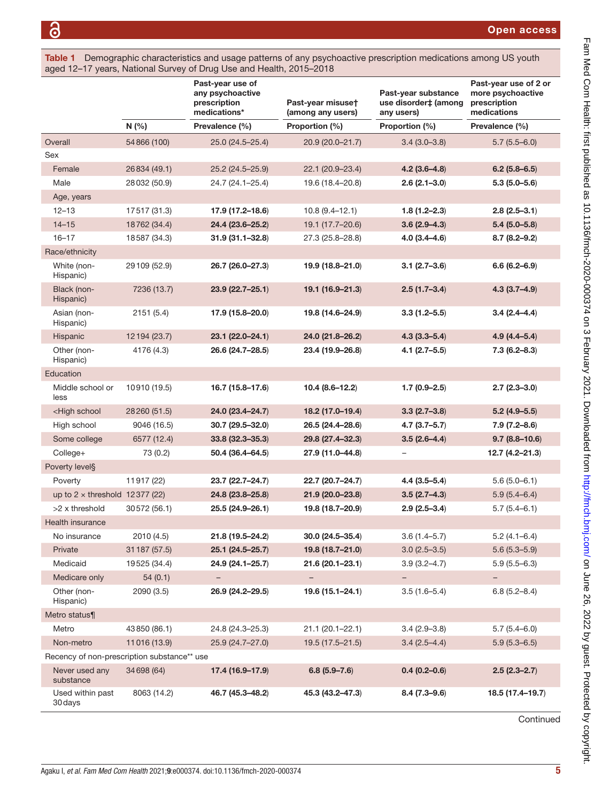<span id="page-4-0"></span>Table 1 Demographic characteristics and usage patterns of any psychoactive prescription medications among US youth aged 12–17 years, National Survey of Drug Use and Health, 2015–2018

|                                                                                                                                                                             |               | Past-year use of<br>any psychoactive<br>prescription<br>medications* | Past-year misuset<br>(among any users) | Past-year substance<br>use disorder‡ (among<br>any users) | Past-year use of 2 or<br>more psychoactive<br>prescription<br>medications |
|-----------------------------------------------------------------------------------------------------------------------------------------------------------------------------|---------------|----------------------------------------------------------------------|----------------------------------------|-----------------------------------------------------------|---------------------------------------------------------------------------|
|                                                                                                                                                                             | N(%)          | Prevalence (%)                                                       | Proportion (%)                         | Proportion (%)                                            | Prevalence (%)                                                            |
| Overall                                                                                                                                                                     | 54866 (100)   | 25.0 (24.5-25.4)                                                     | 20.9 (20.0-21.7)                       | $3.4(3.0 - 3.8)$                                          | $5.7(5.5-6.0)$                                                            |
| Sex                                                                                                                                                                         |               |                                                                      |                                        |                                                           |                                                                           |
| Female                                                                                                                                                                      | 26834 (49.1)  | 25.2 (24.5-25.9)                                                     | 22.1 (20.9-23.4)                       | $4.2(3.6-4.8)$                                            | $6.2$ (5.8-6.5)                                                           |
| Male                                                                                                                                                                        | 28032 (50.9)  | 24.7 (24.1-25.4)                                                     | 19.6 (18.4-20.8)                       | $2.6(2.1 - 3.0)$                                          | $5.3(5.0 - 5.6)$                                                          |
| Age, years                                                                                                                                                                  |               |                                                                      |                                        |                                                           |                                                                           |
| $12 - 13$                                                                                                                                                                   | 17517 (31.3)  | 17.9 (17.2-18.6)                                                     | $10.8(9.4 - 12.1)$                     | $1.8(1.2 - 2.3)$                                          | $2.8(2.5-3.1)$                                                            |
| $14 - 15$                                                                                                                                                                   | 18762 (34.4)  | 24.4 (23.6-25.2)                                                     | 19.1 (17.7-20.6)                       | $3.6(2.9-4.3)$                                            | $5.4(5.0-5.8)$                                                            |
| $16 - 17$                                                                                                                                                                   | 18587 (34.3)  | 31.9 (31.1-32.8)                                                     | 27.3 (25.8-28.8)                       | $4.0(3.4 - 4.6)$                                          | $8.7(8.2 - 9.2)$                                                          |
| Race/ethnicity                                                                                                                                                              |               |                                                                      |                                        |                                                           |                                                                           |
| White (non-<br>Hispanic)                                                                                                                                                    | 29 109 (52.9) | 26.7 (26.0-27.3)                                                     | 19.9 (18.8-21.0)                       | $3.1(2.7-3.6)$                                            | $6.6(6.2 - 6.9)$                                                          |
| Black (non-<br>Hispanic)                                                                                                                                                    | 7236 (13.7)   | 23.9 (22.7-25.1)                                                     | 19.1 (16.9-21.3)                       | $2.5(1.7-3.4)$                                            | $4.3(3.7-4.9)$                                                            |
| Asian (non-<br>Hispanic)                                                                                                                                                    | 2151(5.4)     | 17.9 (15.8-20.0)                                                     | 19.8 (14.6-24.9)                       | $3.3(1.2 - 5.5)$                                          | $3.4(2.4 - 4.4)$                                                          |
| Hispanic                                                                                                                                                                    | 12 194 (23.7) | 23.1 (22.0-24.1)                                                     | 24.0 (21.8-26.2)                       | $4.3(3.3 - 5.4)$                                          | $4.9(4.4 - 5.4)$                                                          |
| Other (non-<br>Hispanic)                                                                                                                                                    | 4176 (4.3)    | 26.6 (24.7-28.5)                                                     | 23.4 (19.9-26.8)                       | $4.1(2.7 - 5.5)$                                          | $7.3(6.2 - 8.3)$                                                          |
| Education                                                                                                                                                                   |               |                                                                      |                                        |                                                           |                                                                           |
| Middle school or<br>less                                                                                                                                                    | 10910 (19.5)  | 16.7 (15.8-17.6)                                                     | $10.4(8.6-12.2)$                       | $1.7(0.9-2.5)$                                            | $2.7(2.3 - 3.0)$                                                          |
| <high school<="" td=""><td>28260 (51.5)</td><td>24.0 (23.4-24.7)</td><td>18.2 (17.0-19.4)</td><td><math>3.3(2.7-3.8)</math></td><td><math>5.2(4.9 - 5.5)</math></td></high> | 28260 (51.5)  | 24.0 (23.4-24.7)                                                     | 18.2 (17.0-19.4)                       | $3.3(2.7-3.8)$                                            | $5.2(4.9 - 5.5)$                                                          |
| High school                                                                                                                                                                 | 9046 (16.5)   | 30.7 (29.5-32.0)                                                     | 26.5 (24.4-28.6)                       | $4.7(3.7 - 5.7)$                                          | $7.9(7.2 - 8.6)$                                                          |
| Some college                                                                                                                                                                | 6577 (12.4)   | 33.8 (32.3-35.3)                                                     | 29.8 (27.4-32.3)                       | $3.5(2.6-4.4)$                                            | $9.7(8.8 - 10.6)$                                                         |
| College+                                                                                                                                                                    | 73 (0.2)      | 50.4 (36.4-64.5)                                                     | 27.9 (11.0-44.8)                       | $\overline{\phantom{0}}$                                  | $12.7(4.2 - 21.3)$                                                        |
| Poverty level§                                                                                                                                                              |               |                                                                      |                                        |                                                           |                                                                           |
| Poverty                                                                                                                                                                     | 11917 (22)    | 23.7 (22.7-24.7)                                                     | 22.7 (20.7-24.7)                       | $4.4(3.5 - 5.4)$                                          | $5.6(5.0-6.1)$                                                            |
| up to $2 \times$ threshold 12377 (22)                                                                                                                                       |               | 24.8 (23.8-25.8)                                                     | 21.9 (20.0-23.8)                       | $3.5(2.7-4.3)$                                            | $5.9(5.4 - 6.4)$                                                          |
| >2 x threshold                                                                                                                                                              | 30572 (56.1)  | 25.5 (24.9-26.1)                                                     | 19.8 (18.7-20.9)                       | $2.9(2.5 - 3.4)$                                          | $5.7(5.4 - 6.1)$                                                          |
| <b>Health insurance</b>                                                                                                                                                     |               |                                                                      |                                        |                                                           |                                                                           |
| No insurance                                                                                                                                                                | 2010 (4.5)    | 21.8 (19.5-24.2)                                                     | 30.0 (24.5-35.4)                       | $3.6(1.4 - 5.7)$                                          | $5.2(4.1 - 6.4)$                                                          |
| Private                                                                                                                                                                     | 31 187 (57.5) | 25.1 (24.5-25.7)                                                     | 19.8 (18.7-21.0)                       | $3.0(2.5-3.5)$                                            | $5.6(5.3 - 5.9)$                                                          |
| Medicaid                                                                                                                                                                    | 19525 (34.4)  | 24.9 (24.1-25.7)                                                     | 21.6 (20.1-23.1)                       | $3.9(3.2 - 4.7)$                                          | $5.9(5.5-6.3)$                                                            |
| Medicare only                                                                                                                                                               | 54(0.1)       | $\qquad \qquad -$                                                    | $\qquad \qquad -$                      | $\overline{\phantom{0}}$                                  | -                                                                         |
| Other (non-<br>Hispanic)                                                                                                                                                    | 2090 (3.5)    | 26.9 (24.2-29.5)                                                     | 19.6 (15.1-24.1)                       | $3.5(1.6-5.4)$                                            | $6.8(5.2 - 8.4)$                                                          |
| Metro status¶                                                                                                                                                               |               |                                                                      |                                        |                                                           |                                                                           |
| Metro                                                                                                                                                                       | 43850 (86.1)  | 24.8 (24.3-25.3)                                                     | 21.1 (20.1-22.1)                       | $3.4(2.9 - 3.8)$                                          | $5.7(5.4 - 6.0)$                                                          |
| Non-metro                                                                                                                                                                   | 11016 (13.9)  | 25.9 (24.7-27.0)                                                     | 19.5 (17.5-21.5)                       | $3.4(2.5-4.4)$                                            | $5.9(5.3 - 6.5)$                                                          |
| Recency of non-prescription substance** use                                                                                                                                 |               |                                                                      |                                        |                                                           |                                                                           |
| Never used any<br>substance                                                                                                                                                 | 34698 (64)    | 17.4 (16.9-17.9)                                                     | $6.8(5.9 - 7.6)$                       | $0.4(0.2 - 0.6)$                                          | $2.5(2.3 - 2.7)$                                                          |
| Used within past<br>30 days                                                                                                                                                 | 8063 (14.2)   | 46.7 (45.3-48.2)                                                     | 45.3 (43.2-47.3)                       | $8.4(7.3-9.6)$                                            | 18.5 (17.4-19.7)                                                          |

Continued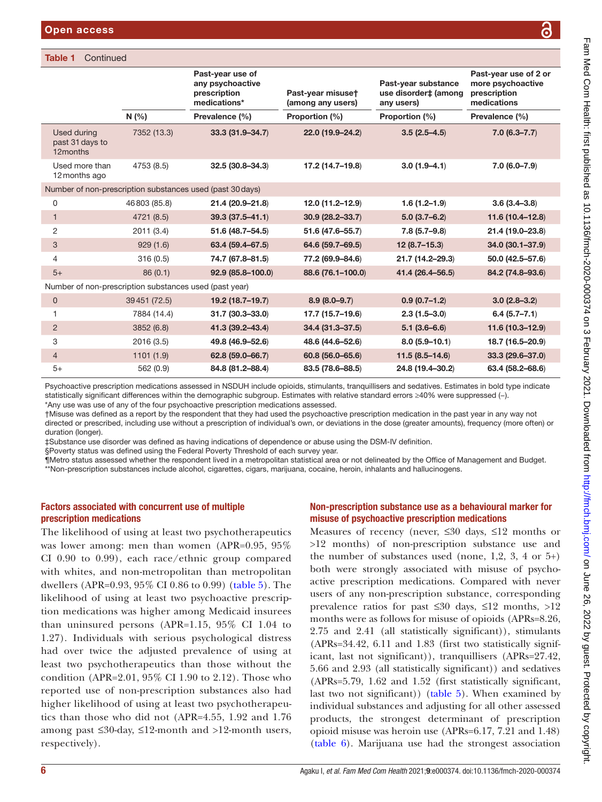|                                                        |              | Past-year use of<br>any psychoactive<br>prescription<br>medications* | Past-year misuset<br>(among any users) | Past-year substance<br>use disorder‡ (among<br>any users) | Past-year use of 2 or<br>more psychoactive<br>prescription<br>medications |
|--------------------------------------------------------|--------------|----------------------------------------------------------------------|----------------------------------------|-----------------------------------------------------------|---------------------------------------------------------------------------|
|                                                        | N(%          | Prevalence (%)                                                       | Proportion (%)                         | Proportion (%)                                            | Prevalence (%)                                                            |
| Used during<br>past 31 days to<br>12months             | 7352 (13.3)  | 33.3 (31.9-34.7)                                                     | 22.0 (19.9-24.2)                       | $3.5(2.5-4.5)$                                            | $7.0(6.3 - 7.7)$                                                          |
| Used more than<br>12 months ago                        | 4753 (8.5)   | 32.5 (30.8-34.3)                                                     | 17.2 (14.7-19.8)                       | $3.0(1.9 - 4.1)$                                          | 7.0 (6.0-7.9)                                                             |
|                                                        |              | Number of non-prescription substances used (past 30 days)            |                                        |                                                           |                                                                           |
| $\mathbf 0$                                            | 46803 (85.8) | 21.4 (20.9-21.8)                                                     | 12.0 (11.2-12.9)                       | $1.6(1.2 - 1.9)$                                          | $3.6(3.4 - 3.8)$                                                          |
| $\mathbf{1}$                                           | 4721 (8.5)   | $39.3(37.5 - 41.1)$                                                  | 30.9 (28.2-33.7)                       | $5.0(3.7-6.2)$                                            | 11.6 (10.4-12.8)                                                          |
| $\overline{2}$                                         | 2011 (3.4)   | 51.6 (48.7-54.5)                                                     | 51.6 (47.6-55.7)                       | $7.8(5.7-9.8)$                                            | 21.4 (19.0-23.8)                                                          |
| 3                                                      | 929(1.6)     | 63.4 (59.4-67.5)                                                     | 64.6 (59.7-69.5)                       | $12(8.7 - 15.3)$                                          | 34.0 (30.1-37.9)                                                          |
| 4                                                      | 316 (0.5)    | 74.7 (67.8-81.5)                                                     | 77.2 (69.9-84.6)                       | 21.7 (14.2-29.3)                                          | 50.0 (42.5-57.6)                                                          |
| $5+$                                                   | 86(0.1)      | 92.9 (85.8-100.0)                                                    | 88.6 (76.1-100.0)                      | 41.4 (26.4-56.5)                                          | 84.2 (74.8-93.6)                                                          |
| Number of non-prescription substances used (past year) |              |                                                                      |                                        |                                                           |                                                                           |
| $\mathbf 0$                                            | 39451 (72.5) | 19.2 (18.7-19.7)                                                     | $8.9(8.0 - 9.7)$                       | $0.9(0.7-1.2)$                                            | $3.0(2.8-3.2)$                                                            |
| 1                                                      | 7884 (14.4)  | 31.7 (30.3-33.0)                                                     | 17.7 (15.7-19.6)                       | $2.3(1.5-3.0)$                                            | $6.4(5.7 - 7.1)$                                                          |
| $\overline{2}$                                         | 3852 (6.8)   | 41.3 (39.2-43.4)                                                     | 34.4 (31.3-37.5)                       | $5.1(3.6-6.6)$                                            | 11.6 (10.3-12.9)                                                          |
| 3                                                      | 2016 (3.5)   | 49.8 (46.9-52.6)                                                     | 48.6 (44.6-52.6)                       | $8.0(5.9 - 10.1)$                                         | 18.7 (16.5-20.9)                                                          |
| $\overline{4}$                                         | 1101(1.9)    | 62.8 (59.0-66.7)                                                     | 60.8 (56.0-65.6)                       | $11.5(8.5-14.6)$                                          | 33.3 (29.6-37.0)                                                          |
| $5+$                                                   | 562 (0.9)    | 84.8 (81.2-88.4)                                                     | 83.5 (78.6-88.5)                       | 24.8 (19.4-30.2)                                          | 63.4 (58.2-68.6)                                                          |

Psychoactive prescription medications assessed in NSDUH include opioids, stimulants, tranquillisers and sedatives. Estimates in bold type indicate statistically significant differences within the demographic subgroup. Estimates with relative standard errors ≥40% were suppressed (-). \*Any use was use of any of the four psychoactive prescription medications assessed.

†Misuse was defined as a report by the respondent that they had used the psychoactive prescription medication in the past year in any way not directed or prescribed, including use without a prescription of individual's own, or deviations in the dose (greater amounts), frequency (more often) or duration (longer).

‡Substance use disorder was defined as having indications of dependence or abuse using the DSM-IV definition.

§Poverty status was defined using the Federal Poverty Threshold of each survey year.

¶Metro status assessed whether the respondent lived in a metropolitan statistical area or not delineated by the Office of Management and Budget. \*\*Non-prescription substances include alcohol, cigarettes, cigars, marijuana, cocaine, heroin, inhalants and hallucinogens.

# Factors associated with concurrent use of multiple prescription medications

The likelihood of using at least two psychotherapeutics was lower among: men than women (APR=0.95, 95% CI 0.90 to 0.99), each race/ethnic group compared with whites, and non-metropolitan than metropolitan dwellers (APR=0.93, 95% CI 0.86 to 0.99) ([table](#page-12-0) 5). The likelihood of using at least two psychoactive prescription medications was higher among Medicaid insurees than uninsured persons (APR=1.15, 95% CI 1.04 to 1.27). Individuals with serious psychological distress had over twice the adjusted prevalence of using at least two psychotherapeutics than those without the condition (APR=2.01, 95% CI 1.90 to 2.12). Those who reported use of non-prescription substances also had higher likelihood of using at least two psychotherapeutics than those who did not (APR=4.55, 1.92 and 1.76 among past ≤30-day, ≤12-month and >12-month users, respectively).

# Non-prescription substance use as a behavioural marker for misuse of psychoactive prescription medications

Measures of recency (never, ≤30 days, ≤12 months or >12 months) of non-prescription substance use and the number of substances used (none,  $1,2, 3, 4$  or  $5+$ ) both were strongly associated with misuse of psychoactive prescription medications. Compared with never users of any non-prescription substance, corresponding prevalence ratios for past ≤30 days, ≤12 months, >12 months were as follows for misuse of opioids (APRs=8.26, 2.75 and 2.41 (all statistically significant)), stimulants (APRs=34.42, 6.11 and 1.83 (first two statistically significant, last not significant)), tranquillisers (APRs=27.42, 5.66 and 2.93 (all statistically significant)) and sedatives (APRs=5.79, 1.62 and 1.52 (first statistically significant, last two not significant)) ([table](#page-12-0) 5). When examined by individual substances and adjusting for all other assessed products, the strongest determinant of prescription opioid misuse was heroin use (APRs=6.17, 7.21 and 1.48) [\(table](#page-14-0) 6). Marijuana use had the strongest association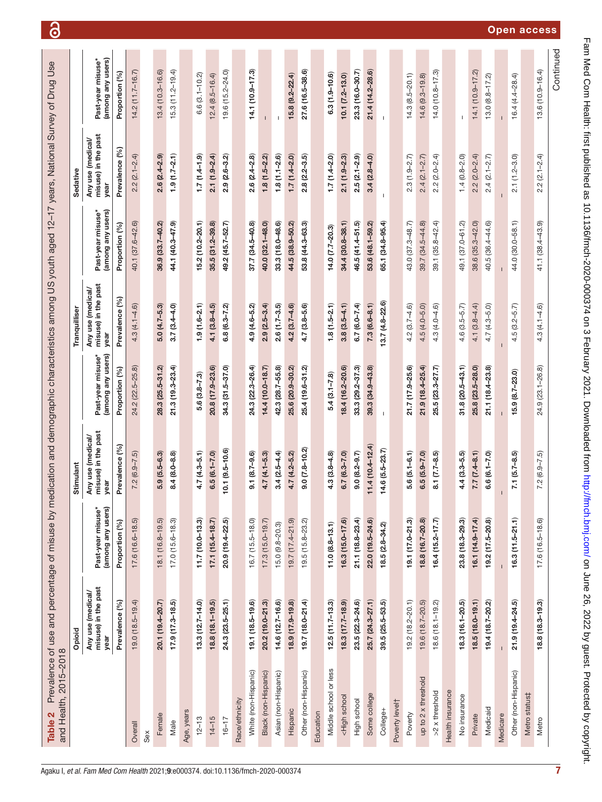| ļ                             |  |
|-------------------------------|--|
|                               |  |
|                               |  |
|                               |  |
|                               |  |
|                               |  |
|                               |  |
|                               |  |
|                               |  |
|                               |  |
| <b>ANDOV</b><br>i use and per |  |
| בטו ש<br>ن<br>؟               |  |
| h 2015-2018<br><b>CONTAIN</b> |  |
| and Health.<br>Fable 2        |  |

ငြ

| and Health, 2015-2018                                                                                                                                                                                                                                                                                        |                                                  |                                        |                                                  |                                        |                                                  |                                        |                                                  |                                        |
|--------------------------------------------------------------------------------------------------------------------------------------------------------------------------------------------------------------------------------------------------------------------------------------------------------------|--------------------------------------------------|----------------------------------------|--------------------------------------------------|----------------------------------------|--------------------------------------------------|----------------------------------------|--------------------------------------------------|----------------------------------------|
|                                                                                                                                                                                                                                                                                                              | Opioid                                           |                                        | Stimulant                                        |                                        | Tranquilliser                                    |                                        | Sedative                                         |                                        |
|                                                                                                                                                                                                                                                                                                              | misuse) in the past<br>Any use (medical/<br>year | (among any users)<br>Past-year misuse* | misuse) in the past<br>Any use (medical/<br>year | Past-year misuse*<br>(among any users) | misuse) in the past<br>Any use (medical/<br>year | (among any users)<br>Past-year misuse* | misuse) in the past<br>Any use (medical/<br>year | (among any users)<br>Past-year misuse* |
|                                                                                                                                                                                                                                                                                                              | Prevalence (%)                                   | Proportion (%)                         | Prevalence (%)                                   | Proportion (%)                         | Prevalence (%)                                   | Proportion (%)                         | Prevalence (%)                                   | Proportion (%)                         |
| Overall                                                                                                                                                                                                                                                                                                      | $19.0(18.5 - 19.4)$                              | $17.6(16.6 - 18.5)$                    | $7.2(6.9 - 7.5)$                                 | 24.2 (22.5-25.8)                       | $4.3(4.1 - 4.6)$                                 | 40.1 (37.6-42.6)                       | $2.2(2.1 - 2.4)$                                 | $14.2(11.7 - 16.7)$                    |
| Sex                                                                                                                                                                                                                                                                                                          |                                                  |                                        |                                                  |                                        |                                                  |                                        |                                                  |                                        |
| Female                                                                                                                                                                                                                                                                                                       | 20.1 (19.4-20.7)                                 | 18.1 (16.8-19.5)                       | $5.9(5.5-6.3)$                                   | 28.3 (25.5-31.2)                       | $5.0(4.7 - 5.3)$                                 | 36.9 (33.7-40.2)                       | $2.6(2.4 - 2.9)$                                 | $13.4(10.3 - 16.6)$                    |
| Male                                                                                                                                                                                                                                                                                                         | $17.9(17.3 - 18.5)$                              | $17.0(15.6 - 18.3)$                    | $8.4(8.0 - 8.8)$                                 | $21.3(19.3 - 23.4)$                    | $3.7(3.4 - 4.0)$                                 | 44.1 (40.3-47.9)                       | $1.9(1.7-2.1)$                                   | $15.3(11.2 - 19.4)$                    |
| Age, years                                                                                                                                                                                                                                                                                                   |                                                  |                                        |                                                  |                                        |                                                  |                                        |                                                  |                                        |
| $12 - 13$                                                                                                                                                                                                                                                                                                    | $13.3(12.7 - 14.0)$                              | $11.7(10.0 - 13.3)$                    | $4.7(4.3 - 5.1)$                                 | $5.6(3.8 - 7.3)$                       | $1.9(1.6 - 2.1)$                                 | $15.2(10.2 - 20.1)$                    | $1.7(1.4 - 1.9)$                                 | $6.6(3.1 - 10.2)$                      |
| $14 - 15$                                                                                                                                                                                                                                                                                                    | $18.8(18.1 - 19.5)$                              | $17.1(15.4 - 18.7)$                    | $6.5(6.1 - 7.0)$                                 | 20.8 (17.9-23.6)                       | $4.1(3.8 - 4.5)$                                 | $35.5(31.2 - 39.8)$                    | $2.1(1.9 - 2.4)$                                 | $12.4(8.5 - 16.4)$                     |
| $16 - 17$                                                                                                                                                                                                                                                                                                    | 24.3 (23.5-25.1)                                 | 20.9 (19.4-22.5)                       | $10.1 (9.5 - 10.6)$                              | 34.3 (31.5-37.0)                       | $6.8(6.3 - 7.2)$                                 | 49.2 (45.7-52.7)                       | $2.9(2.6-3.2)$                                   | 19.6 (15.2-24.0)                       |
| Race/ethnicity                                                                                                                                                                                                                                                                                               |                                                  |                                        |                                                  |                                        |                                                  |                                        |                                                  |                                        |
| White (non-Hispanic)                                                                                                                                                                                                                                                                                         | 19.1 (18.5-19.6)                                 | $16.7(15.5 - 18.0)$                    | $9.1 (8.7 - 9.6)$                                | 24.3 (22.3-26.4)                       | $4.9(4.6 - 5.2)$                                 | 37.7 (34.5-40.8)                       | $2.6(2.4-2.8)$                                   | 14.1 (10.9-17.3)                       |
| Black (non-Hispanic)                                                                                                                                                                                                                                                                                         | $20.2(19.0 - 21.3)$                              | $17.3(15.0 - 19.7)$                    | $4.7(4.1 - 5.3)$                                 | $14.4(10.0 - 18.7)$                    | $2.9(2.5 - 3.4)$                                 | 40.0 (32.1-48.0)                       | $1.8(1.5-2.2)$                                   |                                        |
| Asian (non-Hispanic)                                                                                                                                                                                                                                                                                         | 14.6 (12.7-16.6)                                 | $15.0(9.8-20.3)$                       | $3.4(2.5-4.4)$                                   | 42.3 (28.7-55.8)                       | $2.6(1.7-3.5)$                                   | 33.3 (18.0-48.6)                       | $1.8(1.1 - 2.6)$                                 |                                        |
| Hispanic                                                                                                                                                                                                                                                                                                     | 18.9 (17.9-19.8)                                 | 19.7 (17.4-21.9)                       | $4.7(4.2 - 5.2)$                                 | 25.6 (20.9-30.2)                       | $4.2(3.7 - 4.6)$                                 | 44.5 (38.9-50.2)                       | $1.7(1.4 - 2.0)$                                 | $15.8(9.2 - 22.4)$                     |
| Other (non-Hispanic)                                                                                                                                                                                                                                                                                         | 19.7 (18.0-21.4)                                 | 19.5 (15.8-23.2)                       | $9.0$ $(7.8 - 10.2)$                             | 25.4 (19.6-31.2)                       | $4.7(3.8 - 5.6)$                                 | 53.8 (44.3-63.3)                       | $2.8(2.2 - 3.5)$                                 | 27.6 (16.5-38.6)                       |
| Education                                                                                                                                                                                                                                                                                                    |                                                  |                                        |                                                  |                                        |                                                  |                                        |                                                  |                                        |
| Middle school or less                                                                                                                                                                                                                                                                                        | $12.5(11.7 - 13.3)$                              | $11.0 (8.8 - 13.1)$                    | $4.3(3.8 - 4.8)$                                 | $5.4(3.1 - 7.8)$                       | $1.8(1.5-2.1)$                                   | $14.0 (7.7 - 20.3)$                    | $1.7(1.4-2.0)$                                   | $6.3(1.9 - 10.6)$                      |
| <high school<="" td=""><td><math>18.3(17.7-18.9)</math></td><td>16.3 (15.0-17.6)</td><td><math>6.7(6.3 - 7.0)</math></td><td>18.4 (16.2-20.6)</td><td><math>3.8(3.5-4.1)</math></td><td><math>34.4(30.8 - 38.1)</math></td><td><math>2.1(1.9 - 2.3)</math></td><td><math>10.1(7.2 - 13.0)</math></td></high> | $18.3(17.7-18.9)$                                | 16.3 (15.0-17.6)                       | $6.7(6.3 - 7.0)$                                 | 18.4 (16.2-20.6)                       | $3.8(3.5-4.1)$                                   | $34.4(30.8 - 38.1)$                    | $2.1(1.9 - 2.3)$                                 | $10.1(7.2 - 13.0)$                     |
| High school                                                                                                                                                                                                                                                                                                  | 23.5 (22.3-24.6)                                 | $21.1(18.8 - 23.4)$                    | $9.0 (8.2 - 9.7)$                                | 33.3 (29.2-37.3)                       | $6.7(6.0 - 7.4)$                                 | 46.5 (41.4-51.5)                       | $2.5(2.1 - 2.9)$                                 | 23.3 (16.0-30.7)                       |
| Some college                                                                                                                                                                                                                                                                                                 | 25.7 (24.3-27.1)                                 | 22.0 (19.5-24.6)                       | $11.4(10.4 - 12.4)$                              | $39.3(34.9 - 43.8)$                    | $7.3(6.6-8.1)$                                   | 53.6 (48.1-59.2)                       | $3.4(2.8 - 4.0)$                                 | 21.4 (14.2-28.6)                       |
| College+                                                                                                                                                                                                                                                                                                     | $39.5(25.5 - 53.5)$                              | $18.5(2.8 - 34.2)$                     | $14.6(5.5-23.7)$                                 | $\mathbf{I}$                           | $13.7(4.8 - 22.6)$                               | 65.1 (34.8-95.4)                       | т                                                | $\mathsf I$                            |
| Poverty levelt                                                                                                                                                                                                                                                                                               |                                                  |                                        |                                                  |                                        |                                                  |                                        |                                                  |                                        |
| Poverty                                                                                                                                                                                                                                                                                                      | 19.2 (18.2-20.1)                                 | 19.1 (17.0-21.3)                       | $5.6(5.1 - 6.1)$                                 | 21.7 (17.9-25.6)                       | $4.2(3.7 - 4.6)$                                 | 43.0 (37.3-48.7)                       | $2.3(1.9 - 2.7)$                                 | $14.3(8.5 - 20.1)$                     |
| up to 2 x threshold                                                                                                                                                                                                                                                                                          | 19.6 (18.7-20.5)                                 | 18.8 (16.7-20.8)                       | $6.5(5.9 - 7.0)$                                 | 21.9 (18.4-25.4)                       | $4.5(4.0 - 5.0)$                                 | 39.7 (34.5-44.8)                       | $2.4(2.1 - 2.7)$                                 | $14.6(9.3 - 19.8)$                     |
| >2 x threshold                                                                                                                                                                                                                                                                                               | 18.6 (18.1-19.2)                                 | $16.4(15.2 - 17.7)$                    | $8.1 (7.7 - 8.5)$                                | 25.5 (23.3-27.7)                       | $4.3(4.0 - 4.6)$                                 | 39.1 (35.8-42.4)                       | $2.2(2.0 - 2.4)$                                 | $14.0(10.8 - 17.3)$                    |
| Health insurance                                                                                                                                                                                                                                                                                             |                                                  |                                        |                                                  |                                        |                                                  |                                        |                                                  |                                        |
| No insurance                                                                                                                                                                                                                                                                                                 | $18.3(16.1 - 20.5)$                              | $23.8(18.3 - 29.3)$                    | $4.4(3.3 - 5.5)$                                 | $31.8(20.5-43.1)$                      | $4.6(3.5 - 5.7)$                                 | 49.1 (37.0-61.2)                       | $1.4(0.8-2.0)$                                   |                                        |
| Private                                                                                                                                                                                                                                                                                                      | $18.5(18.0 - 19.1)$                              | $16.1(14.9 - 17.4)$                    | $7.7 (7.4 - 8.1)$                                | 25.8 (23.5-28.0)                       | $4.1(3.8 - 4.4)$                                 | $38.6(35.3 - 42.0)$                    | $2.2(2.0-2.4)$                                   | 14.1 (10.9-17.2)                       |
| Medicaid                                                                                                                                                                                                                                                                                                     | 19.4 (18.7-20.2)                                 | 19.2 (17.5-20.8)                       | $6.6(6.1 - 7.0)$                                 | $21.1(18.4 - 23.8)$                    | $4.7(4.3 - 5.0)$                                 | 40.5 (36.4-44.6)                       | $2.4(2.1 - 2.7)$                                 | $13.0(8.8 - 17.2)$                     |
| Medicare                                                                                                                                                                                                                                                                                                     |                                                  |                                        |                                                  |                                        |                                                  |                                        |                                                  |                                        |
| Other (non-Hispanic)                                                                                                                                                                                                                                                                                         | $21.9(19.4 - 24.5)$                              | $16.3(11.5 - 21.1)$                    | $7.1(5.7-8.5)$                                   | 15.9 (8.7-23.0)                        | $4.5(3.2 - 5.7)$                                 | 44.0 (30.0-58.1)                       | $2.1(1.2 - 3.0)$                                 | $16.4(4.4 - 28.4)$                     |
| Metro status‡                                                                                                                                                                                                                                                                                                |                                                  |                                        |                                                  |                                        |                                                  |                                        |                                                  |                                        |
| Metro                                                                                                                                                                                                                                                                                                        | $18.8(18.3 - 19.3)$                              | $17.6(16.5 - 18.6)$                    | $7.2(6.9 - 7.5)$                                 | 24.9 (23.1-26.8)                       | $4.3(4.1 - 4.6)$                                 | 41.1 (38.4-43.9)                       | $2.2(2.1 - 2.4)$                                 | $13.6(10.9 - 16.4)$                    |
|                                                                                                                                                                                                                                                                                                              |                                                  |                                        |                                                  |                                        |                                                  |                                        |                                                  | Continued                              |

# Open access

Fam Med Com Health: first published as 10.1136/fmch-2020-000374 on 3 February 2021. Downloaded from http://fmch.bnj.com/ on June 26, 2022 by guest. Protected by copyright. Fam Med Com Health: first published as 10.1136/fmch-2020-000374 on 3 February 2021. Downloaded from <http://fmch.bmj.com/> on June 26, 2022 by guest. Protected by copyright

<span id="page-6-0"></span>7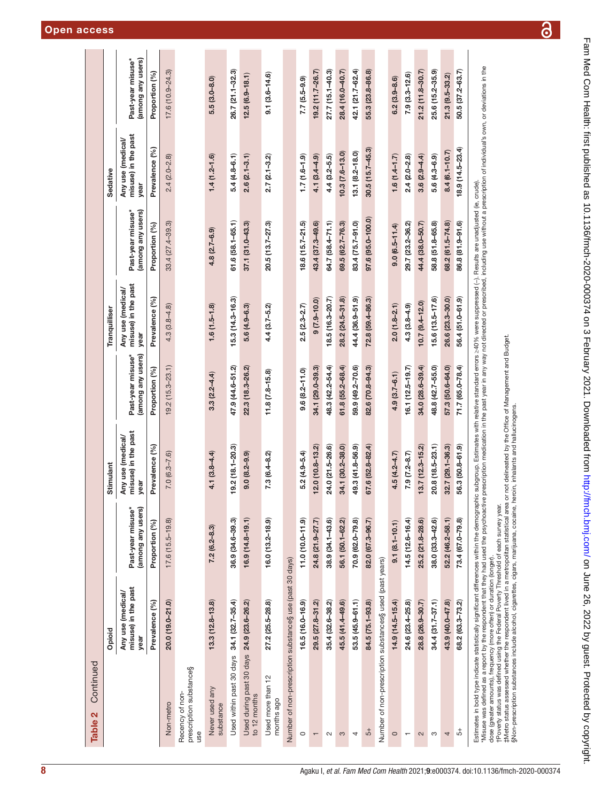| Continued<br>Table 2                                                                                                                                                                                                              |                                                  |                                        |                                                  |                                        |                                                  |                                        |                                                  |                                        |
|-----------------------------------------------------------------------------------------------------------------------------------------------------------------------------------------------------------------------------------|--------------------------------------------------|----------------------------------------|--------------------------------------------------|----------------------------------------|--------------------------------------------------|----------------------------------------|--------------------------------------------------|----------------------------------------|
|                                                                                                                                                                                                                                   | Opioid                                           |                                        | Stimulant                                        |                                        | Tranquilliser                                    |                                        | Sedative                                         |                                        |
|                                                                                                                                                                                                                                   | misuse) in the past<br>Any use (medical/<br>year | (among any users)<br>Past-year misuse* | misuse) in the past<br>Any use (medical/<br>year | Past-year misuse*<br>(among any users) | misuse) in the past<br>Any use (medical/<br>year | (among any users)<br>Past-year misuse* | misuse) in the past<br>Any use (medical/<br>year | (among any users)<br>Past-year misuse* |
|                                                                                                                                                                                                                                   | Prevalence (%)                                   | Proportion (%)                         | Prevalence (%)                                   | Proportion (%)                         | Prevalence (%)                                   | Proportion (%)                         | Prevalence (%)                                   | Proportion (%)                         |
| Non-metro                                                                                                                                                                                                                         | 20.0 (19.0-21.0)                                 | $17.6(15.5 - 19.8)$                    | $7.0(6.3 - 7.6)$                                 | $19.2(15.3 - 23.1)$                    | $4.3(3.8 - 4.8)$                                 | $33.4(27.4 - 39.3)$                    | $2.4(2.0 - 2.8)$                                 | $17.6(10.9 - 24.3)$                    |
| prescription substance§<br>Recency of non-<br>use                                                                                                                                                                                 |                                                  |                                        |                                                  |                                        |                                                  |                                        |                                                  |                                        |
| Never used any<br>substance                                                                                                                                                                                                       | $13.3(12.8 - 13.8)$                              | $7.2(6.2 - 8.3)$                       | $4.1(3.8 - 4.4)$                                 | $3.3(2.2 - 4.4)$                       | $1.6(1.5-1.8)$                                   | $4.8(2.7 - 6.9)$                       | $1.4(1.2 - 1.6)$                                 | $5.5(3.0 - 8.0)$                       |
| Used within past 30 days                                                                                                                                                                                                          | 34.1 (32.7-35.4)                                 | 36.9 (34.6-39.3)                       | 19.2 (18.1-20.3)                                 | 47.9 (44.6-51.2)                       | $15.3(14.3 - 16.3)$                              | $61.6(58.1 - 65.1)$                    | $5.4(4.8 - 6.1)$                                 | 26.7 (21.1-32.3)                       |
| Used during past 30 days 24.9 (23.6-26.2)<br>to 12 months                                                                                                                                                                         |                                                  | $16.9(14.8 - 19.1)$                    | $9.0 (8.2 - 9.9)$                                | 22.3 (18.3-26.2)                       | $5.6(4.9 - 6.3)$                                 | $37.1(31.0 - 43.3)$                    | $2.6(2.1 - 3.1)$                                 | $12.5(6.9 - 18.1)$                     |
| Used more than 12<br>months ago                                                                                                                                                                                                   | $27.2(25.5 - 28.8)$                              | $16.0(13.2 - 18.9)$                    | $7.3(6.4 - 8.2)$                                 | $11.8(7.8 - 15.8)$                     | $4.4(3.7 - 5.2)$                                 | $20.5(13.7 - 27.3)$                    | $2.7(2.1 - 3.2)$                                 | $9.1(3.6 - 14.6)$                      |
| Number of non-prescription substance§ use (past 30 days)                                                                                                                                                                          |                                                  |                                        |                                                  |                                        |                                                  |                                        |                                                  |                                        |
| $\circ$                                                                                                                                                                                                                           | $16.5(16.0 - 16.9)$                              | $11.0(10.0 - 11.9)$                    | $5.2(4.9 - 5.4)$                                 | $9.6(8.2 - 11.0)$                      | $2.5(2.3 - 2.7)$                                 | $18.6(15.7 - 21.5)$                    | $1.7(1.6 - 1.9)$                                 | $7.7(5.5-9.9)$                         |
| $\overline{\phantom{0}}$                                                                                                                                                                                                          | 29.5 (27.8-31.2)                                 | 24.8 (21.9-27.7)                       | 12.0 (10.8-13.2)                                 | 34.1 (29.0-39.3)                       | $9(7.9 - 10.0)$                                  | 43.4 (37.3-49.6)                       | $4.1(3.4 - 4.9)$                                 | 19.2 (11.7-26.7)                       |
| $\sim$                                                                                                                                                                                                                            | 35.4 (32.6-38.2)                                 | $38.9(34.1 - 43.6)$                    | 24.0 (21.5-26.6)                                 | 48.3 (42.2-54.4)                       | $18.5(16.3 - 20.7)$                              | 64.7 (58.4-71.1)                       | $4.4(3.2 - 5.5)$                                 | $27.7(15.1 - 40.3)$                    |
| S                                                                                                                                                                                                                                 | 45.5 (41.4-49.6)                                 | 56.1 (50.1-62.2)                       | 34.1 (30.2-38.0)                                 | $61.8(55.2 - 68.4)$                    | $28.2(24.5 - 31.8)$                              | 69.5 (62.7-76.3)                       | $10.3(7.6 - 13.0)$                               | 28.4 (16.0-40.7)                       |
| 4                                                                                                                                                                                                                                 | 53.5 (45.9-61.1)                                 | 70.9 (62.0-79.8)                       | 49.3 (41.8-56.9)                                 | 59.9 (49.2-70.6)                       | 44.4 (36.9-51.9)                                 | 83.4 (75.7-91.0)                       | $13.1 (8.2 - 18.0)$                              | 42.1 (21.7-62.4)                       |
| $\overline{5}$ +                                                                                                                                                                                                                  | 84.5 (75.1-93.8)                                 | 82.0 (67.3-96.7)                       | 67.6 (52.8-82.4)                                 | 82.6 (70.8-94.3)                       | 72.8 (59.4-86.3)                                 | 97.6 (95.0-100.0)                      | $30.5(15.7 - 45.3)$                              | 55.3 (23.8-86.8)                       |
| Number of non-prescription substances§ used (past years)                                                                                                                                                                          |                                                  |                                        |                                                  |                                        |                                                  |                                        |                                                  |                                        |
| $\circ$                                                                                                                                                                                                                           | $14.9(14.5 - 15.4)$                              | $9.1(8.1 - 10.1)$                      | $4.5(4.2 - 4.7)$                                 | $4.9(3.7 - 6.1)$                       | $2.0(1.8 - 2.1)$                                 | $9.0(6.5 - 11.4)$                      | $1.6(1.4 - 1.7)$                                 | $6.2(3.9 - 8.6)$                       |
| $\overline{\phantom{0}}$                                                                                                                                                                                                          | 24.6 (23.4-25.8)                                 | $14.5(12.6 - 16.4)$                    | $7.9(7.2 - 8.7)$                                 | $16.1(12.5 - 19.7)$                    | $4.3(3.8 - 4.9)$                                 | 29.7 (23.2-36.2)                       | $2.4 (2.0 - 2.8)$                                | $7.9(3.3 - 12.6)$                      |
| $\sim$                                                                                                                                                                                                                            | 28.8 (26.9-30.7)                                 | 25.2 (21.8-28.6)                       | $13.7(12.3 - 15.2)$                              | 34.0 (28.6-39.4)                       | $10.7$ $(9.4 - 12.0)$                            | 44.4 (38.0-50.7)                       | $3.6(2.9 - 4.4)$                                 | $21.2(11.8 - 30.7)$                    |
| S                                                                                                                                                                                                                                 | $34.4(31.7 - 37.1)$                              | $38.0(33.3 - 42.6)$                    | $20.8(18.5-23.1)$                                | 48.8 (42.7-55.0)                       | 15.6 (13.5-17.6)                                 | 58.8 (51.8-65.8)                       | $5.6(4.3 - 6.9)$                                 | $25.6(15.2 - 35.9)$                    |
| 4                                                                                                                                                                                                                                 | 43.9 (40.0-47.8)                                 | 52.2 (46.2-58.1)                       | 32.7 (29.1-36.3)                                 | 57.3 (50.6-64.0)                       | 26.6 (23.3-30.0)                                 | 68.2 (61.5-74.8)                       | $8.4(6.1 - 10.7)$                                | 21.3 (9.5-33.2)                        |
| $\overline{5}$                                                                                                                                                                                                                    | 68.2 (63.3-73.2)                                 | 73.4 (67.0-79.8)                       | 56.3 (50.8-61.9)                                 | 71.7 (65.0-78.4)                       | 56.4 (51.0-61.9)                                 | 86.8 (81.9-91.6)                       | 18.9 (14.5-23.4)                                 | 50.5 (37.2-63.7)                       |
| Estimates in bold type indicate statistically significant differences with in the demographic subgroup. Estimates with relative standard errors >40% were suppressed (–). Results are undel) (e, crude).<br>"Mause was defined as |                                                  |                                        |                                                  |                                        |                                                  |                                        |                                                  |                                        |

Misuse was defined as a report by the respondent that they had used the psychoactive precitive preciption medication in the past year in any way not directed or prescribed, including use without a prescription of individua r misuse was cenined as a report by the respondent mat they nad used the psychoactive prescription inedication in the past year in any way not directly and the second of the product of the second of the second of the secon dose (greater amounts), frequency (more often) or duration (longer).

†Poverty status was defined using the Federal Poverty Threshold of each survey year.

‡Metro status assessed whether the respondent lived in a metropolitan statistical area or not delineated by the Office of Management and Budget.

§Non-prescription substances include alcohol, cigarettes, cigars, marijuana, cocaine, heroin, inhalants and hallucinogens.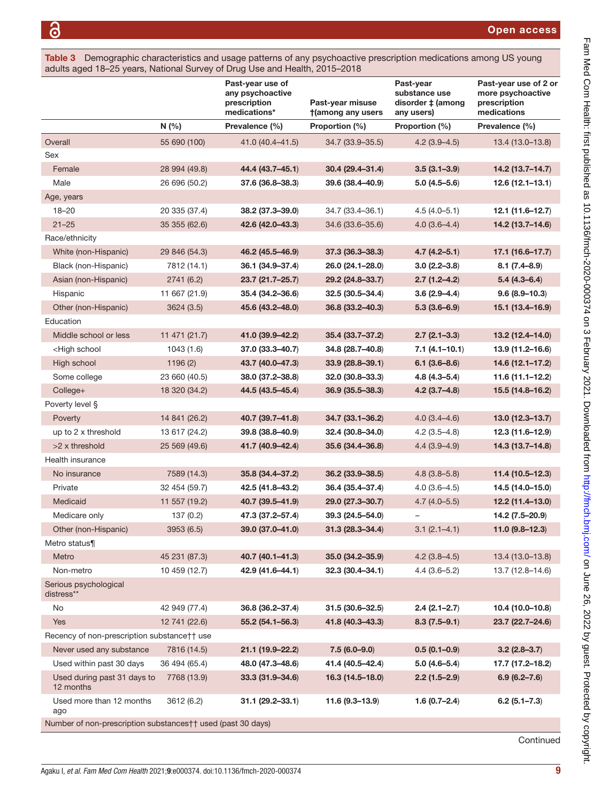<span id="page-8-0"></span>

| Table 3 Demographic characteristics and usage patterns of any psychoactive prescription medications among US young |
|--------------------------------------------------------------------------------------------------------------------|
| adults aged 18–25 years, National Survey of Drug Use and Health, 2015–2018                                         |

| N(% )<br>Prevalence (%)<br>Proportion (%)<br>Proportion (%)<br>Prevalence (%)<br>Overall<br>55 690 (100)<br>41.0 (40.4-41.5)<br>$4.2(3.9 - 4.5)$<br>13.4 (13.0-13.8)<br>34.7 (33.9 - 35.5)<br>Sex<br>Female<br>28 994 (49.8)<br>44.4 (43.7-45.1)<br>$30.4(29.4 - 31.4)$<br>$3.5(3.1 - 3.9)$<br>14.2 (13.7-14.7)<br>Male<br>26 696 (50.2)<br>37.6 (36.8-38.3)<br>39.6 (38.4-40.9)<br>$5.0(4.5 - 5.6)$<br>$12.6(12.1 - 13.1)$<br>Age, years<br>38.2 (37.3-39.0)<br>34.7 (33.4-36.1)<br>$18 - 20$<br>20 335 (37.4)<br>$4.5(4.0 - 5.1)$<br>12.1 (11.6-12.7)<br>34.6 (33.6-35.6)<br>$21 - 25$<br>35 355 (62.6)<br>42.6 (42.0-43.3)<br>$4.0(3.6-4.4)$<br>14.2 (13.7-14.6)<br>Race/ethnicity<br>White (non-Hispanic)<br>29 846 (54.3)<br>46.2 (45.5-46.9)<br>37.3 (36.3-38.3)<br>$4.7(4.2 - 5.1)$<br>$17.1(16.6 - 17.7)$<br>36.1 (34.9-37.4)<br>26.0 (24.1-28.0)<br>$3.0(2.2 - 3.8)$<br>$8.1(7.4 - 8.9)$<br>Black (non-Hispanic)<br>7812 (14.1)<br>29.2 (24.8-33.7)<br>$2.7(1.2 - 4.2)$<br>Asian (non-Hispanic)<br>2741 (6.2)<br>23.7 (21.7-25.7)<br>$5.4(4.3-6.4)$<br>35.4 (34.2-36.6)<br>32.5 (30.5-34.4)<br>$3.6(2.9 - 4.4)$<br>$9.6(8.9 - 10.3)$<br>Hispanic<br>11 667 (21.9)<br>Other (non-Hispanic)<br>45.6 (43.2-48.0)<br>36.8 (33.2-40.3)<br>$5.3(3.6-6.9)$<br>3624(3.5)<br>Education<br>Middle school or less<br>11 471 (21.7)<br>41.0 (39.9-42.2)<br>$2.7(2.1 - 3.3)$<br>13.2 (12.4-14.0)<br>35.4 (33.7-37.2)<br><high school<br="">1043(1.6)<br/>37.0 (33.3-40.7)<br/>34.8 (28.7-40.8)<br/><math>7.1(4.1 - 10.1)</math><br/>13.9 (11.2-16.6)<br/>High school<br/>1196 (2)<br/>43.7 (40.0-47.3)<br/>33.9 (28.8-39.1)<br/><math>6.1(3.6 - 8.6)</math><br/>14.6 (12.1-17.2)<br/>Some college<br/>23 660 (40.5)<br/>38.0 (37.2-38.8)<br/>32.0 (30.8-33.3)<br/><math>4.8(4.3 - 5.4)</math><br/>11.6 (11.1-12.2)<br/>36.9 (35.5-38.3)<br/>College+<br/>18 320 (34.2)<br/>44.5 (43.5-45.4)<br/><math>4.2</math> (3.7-4.8)<br/>15.5 (14.8-16.2)<br/>Poverty level §<br/>14 841 (26.2)<br/>40.7 (39.7-41.8)<br/>34.7 (33.1-36.2)<br/><math>4.0(3.4 - 4.6)</math><br/><math>13.0(12.3 - 13.7)</math><br/>Poverty<br/><math>4.2(3.5 - 4.8)</math><br/>up to 2 x threshold<br/>13 617 (24.2)<br/>39.8 (38.8-40.9)<br/>32.4 (30.8-34.0)<br/>12.3 (11.6-12.9)<br/>&gt;2 x threshold<br/>25 569 (49.6)<br/>41.7 (40.9-42.4)<br/>35.6 (34.4-36.8)<br/><math>4.4(3.9-4.9)</math><br/>14.3 (13.7-14.8)<br/>Health insurance<br/><math>4.8(3.8 - 5.8)</math><br/>7589 (14.3)<br/>35.8 (34.4-37.2)<br/>36.2 (33.9-38.5)<br/><math>11.4(10.5 - 12.3)</math><br/>No insurance<br/>32 454 (59.7)<br/>42.5 (41.8-43.2)<br/>Private<br/>36.4 (35.4-37.4)<br/><math>4.0(3.6-4.5)</math><br/>14.5 (14.0-15.0)<br/>Medicaid<br/>11 557 (19.2)<br/>40.7 (39.5-41.9)<br/>29.0 (27.3-30.7)<br/><math>4.7(4.0-5.5)</math><br/>47.3 (37.2-57.4)<br/>39.3 (24.5-54.0)<br/>14.2 (7.5-20.9)<br/>Medicare only<br/>137(0.2)<br/><math>3.1(2.1-4.1)</math><br/><math>11.0 (9.8 - 12.3)</math><br/>Other (non-Hispanic)<br/>3953 (6.5)<br/>39.0 (37.0-41.0)<br/><math>31.3(28.3 - 34.4)</math><br/>Metro status¶<br/>Metro<br/>45 231 (87.3)<br/>40.7 (40.1-41.3)<br/>35.0 (34.2-35.9)<br/><math>4.2(3.8-4.5)</math><br/>13.4 (13.0-13.8)<br/>10 459 (12.7)<br/>42.9 (41.6-44.1)<br/><math>32.3(30.4 - 34.1)</math><br/><math>4.4(3.6 - 5.2)</math><br/>13.7 (12.8-14.6)<br/>Non-metro<br/>Serious psychological<br/>distress**<br/>No<br/>42 949 (77.4)<br/>36.8 (36.2-37.4)<br/>31.5 (30.6-32.5)<br/><math>2.4(2.1 - 2.7)</math><br/>10.4 (10.0-10.8)<br/><b>Yes</b><br/>12 741 (22.6)<br/>55.2 (54.1-56.3)<br/>41.8 (40.3-43.3)<br/><math>8.3(7.5-9.1)</math><br/>23.7 (22.7-24.6)<br/>Recency of non-prescription substance†† use<br/>Never used any substance<br/>7816 (14.5)<br/>21.1 (19.9-22.2)<br/><math>7.5(6.0-9.0)</math><br/><math>0.5(0.1-0.9)</math><br/><math>3.2(2.8-3.7)</math><br/>Used within past 30 days<br/>36 494 (65.4)<br/>48.0 (47.3-48.6)<br/>41.4 (40.5-42.4)<br/><math>5.0(4.6-5.4)</math><br/>17.7 (17.2-18.2)<br/>Used during past 31 days to<br/>7768 (13.9)<br/><math>33.3(31.9 - 34.6)</math><br/>16.3 (14.5-18.0)<br/><math>2.2(1.5-2.9)</math><br/><math>6.9(6.2 - 7.6)</math><br/>12 months<br/>Used more than 12 months<br/>3612 (6.2)<br/><math>31.1 (29.2 - 33.1)</math><br/><math>11.6(9.3 - 13.9)</math><br/><math>1.6(0.7 - 2.4)</math><br/><math>6.2(5.1 - 7.3)</math></high> |  | Past-year use of<br>any psychoactive<br>prescription<br>medications* | Past-year misuse<br>†(among any users | Past-year<br>substance use<br>disorder ‡ (among<br>any users) | Past-year use of 2 or<br>more psychoactive<br>prescription<br>medications |
|-----------------------------------------------------------------------------------------------------------------------------------------------------------------------------------------------------------------------------------------------------------------------------------------------------------------------------------------------------------------------------------------------------------------------------------------------------------------------------------------------------------------------------------------------------------------------------------------------------------------------------------------------------------------------------------------------------------------------------------------------------------------------------------------------------------------------------------------------------------------------------------------------------------------------------------------------------------------------------------------------------------------------------------------------------------------------------------------------------------------------------------------------------------------------------------------------------------------------------------------------------------------------------------------------------------------------------------------------------------------------------------------------------------------------------------------------------------------------------------------------------------------------------------------------------------------------------------------------------------------------------------------------------------------------------------------------------------------------------------------------------------------------------------------------------------------------------------------------------------------------------------------------------------------------------------------------------------------------------------------------------------------------------------------------------------------------------------------------------------------------------------------------------------------------------------------------------------------------------------------------------------------------------------------------------------------------------------------------------------------------------------------------------------------------------------------------------------------------------------------------------------------------------------------------------------------------------------------------------------------------------------------------------------------------------------------------------------------------------------------------------------------------------------------------------------------------------------------------------------------------------------------------------------------------------------------------------------------------------------------------------------------------------------------------------------------------------------------------------------------------------------------------------------------------------------------------------------------------------------------------------------------------------------------------------------------------------------------------------------------------------------------------------------------------------------------------------------------------------------------------------------------------------------------------------------------------------------------------------------------------------------------------------------------------------------------------------------------------------------------------------------------------------------------------------------------------------------------------------------------------------------------------------------------------------------------------------------------------------------------------------------------------------------------------------------------------------------------------------------------------------------------------------------------------------------------------------------------------------------------------------------------------------------------------------------------------------------------------------------------------------------------|--|----------------------------------------------------------------------|---------------------------------------|---------------------------------------------------------------|---------------------------------------------------------------------------|
|                                                                                                                                                                                                                                                                                                                                                                                                                                                                                                                                                                                                                                                                                                                                                                                                                                                                                                                                                                                                                                                                                                                                                                                                                                                                                                                                                                                                                                                                                                                                                                                                                                                                                                                                                                                                                                                                                                                                                                                                                                                                                                                                                                                                                                                                                                                                                                                                                                                                                                                                                                                                                                                                                                                                                                                                                                                                                                                                                                                                                                                                                                                                                                                                                                                                                                                                                                                                                                                                                                                                                                                                                                                                                                                                                                                                                                                                                                                                                                                                                                                                                                                                                                                                                                                                                                                                                                                         |  |                                                                      |                                       |                                                               |                                                                           |
|                                                                                                                                                                                                                                                                                                                                                                                                                                                                                                                                                                                                                                                                                                                                                                                                                                                                                                                                                                                                                                                                                                                                                                                                                                                                                                                                                                                                                                                                                                                                                                                                                                                                                                                                                                                                                                                                                                                                                                                                                                                                                                                                                                                                                                                                                                                                                                                                                                                                                                                                                                                                                                                                                                                                                                                                                                                                                                                                                                                                                                                                                                                                                                                                                                                                                                                                                                                                                                                                                                                                                                                                                                                                                                                                                                                                                                                                                                                                                                                                                                                                                                                                                                                                                                                                                                                                                                                         |  |                                                                      |                                       |                                                               |                                                                           |
|                                                                                                                                                                                                                                                                                                                                                                                                                                                                                                                                                                                                                                                                                                                                                                                                                                                                                                                                                                                                                                                                                                                                                                                                                                                                                                                                                                                                                                                                                                                                                                                                                                                                                                                                                                                                                                                                                                                                                                                                                                                                                                                                                                                                                                                                                                                                                                                                                                                                                                                                                                                                                                                                                                                                                                                                                                                                                                                                                                                                                                                                                                                                                                                                                                                                                                                                                                                                                                                                                                                                                                                                                                                                                                                                                                                                                                                                                                                                                                                                                                                                                                                                                                                                                                                                                                                                                                                         |  |                                                                      |                                       |                                                               |                                                                           |
|                                                                                                                                                                                                                                                                                                                                                                                                                                                                                                                                                                                                                                                                                                                                                                                                                                                                                                                                                                                                                                                                                                                                                                                                                                                                                                                                                                                                                                                                                                                                                                                                                                                                                                                                                                                                                                                                                                                                                                                                                                                                                                                                                                                                                                                                                                                                                                                                                                                                                                                                                                                                                                                                                                                                                                                                                                                                                                                                                                                                                                                                                                                                                                                                                                                                                                                                                                                                                                                                                                                                                                                                                                                                                                                                                                                                                                                                                                                                                                                                                                                                                                                                                                                                                                                                                                                                                                                         |  |                                                                      |                                       |                                                               |                                                                           |
|                                                                                                                                                                                                                                                                                                                                                                                                                                                                                                                                                                                                                                                                                                                                                                                                                                                                                                                                                                                                                                                                                                                                                                                                                                                                                                                                                                                                                                                                                                                                                                                                                                                                                                                                                                                                                                                                                                                                                                                                                                                                                                                                                                                                                                                                                                                                                                                                                                                                                                                                                                                                                                                                                                                                                                                                                                                                                                                                                                                                                                                                                                                                                                                                                                                                                                                                                                                                                                                                                                                                                                                                                                                                                                                                                                                                                                                                                                                                                                                                                                                                                                                                                                                                                                                                                                                                                                                         |  |                                                                      |                                       |                                                               |                                                                           |
|                                                                                                                                                                                                                                                                                                                                                                                                                                                                                                                                                                                                                                                                                                                                                                                                                                                                                                                                                                                                                                                                                                                                                                                                                                                                                                                                                                                                                                                                                                                                                                                                                                                                                                                                                                                                                                                                                                                                                                                                                                                                                                                                                                                                                                                                                                                                                                                                                                                                                                                                                                                                                                                                                                                                                                                                                                                                                                                                                                                                                                                                                                                                                                                                                                                                                                                                                                                                                                                                                                                                                                                                                                                                                                                                                                                                                                                                                                                                                                                                                                                                                                                                                                                                                                                                                                                                                                                         |  |                                                                      |                                       |                                                               |                                                                           |
|                                                                                                                                                                                                                                                                                                                                                                                                                                                                                                                                                                                                                                                                                                                                                                                                                                                                                                                                                                                                                                                                                                                                                                                                                                                                                                                                                                                                                                                                                                                                                                                                                                                                                                                                                                                                                                                                                                                                                                                                                                                                                                                                                                                                                                                                                                                                                                                                                                                                                                                                                                                                                                                                                                                                                                                                                                                                                                                                                                                                                                                                                                                                                                                                                                                                                                                                                                                                                                                                                                                                                                                                                                                                                                                                                                                                                                                                                                                                                                                                                                                                                                                                                                                                                                                                                                                                                                                         |  |                                                                      |                                       |                                                               |                                                                           |
|                                                                                                                                                                                                                                                                                                                                                                                                                                                                                                                                                                                                                                                                                                                                                                                                                                                                                                                                                                                                                                                                                                                                                                                                                                                                                                                                                                                                                                                                                                                                                                                                                                                                                                                                                                                                                                                                                                                                                                                                                                                                                                                                                                                                                                                                                                                                                                                                                                                                                                                                                                                                                                                                                                                                                                                                                                                                                                                                                                                                                                                                                                                                                                                                                                                                                                                                                                                                                                                                                                                                                                                                                                                                                                                                                                                                                                                                                                                                                                                                                                                                                                                                                                                                                                                                                                                                                                                         |  |                                                                      |                                       |                                                               |                                                                           |
|                                                                                                                                                                                                                                                                                                                                                                                                                                                                                                                                                                                                                                                                                                                                                                                                                                                                                                                                                                                                                                                                                                                                                                                                                                                                                                                                                                                                                                                                                                                                                                                                                                                                                                                                                                                                                                                                                                                                                                                                                                                                                                                                                                                                                                                                                                                                                                                                                                                                                                                                                                                                                                                                                                                                                                                                                                                                                                                                                                                                                                                                                                                                                                                                                                                                                                                                                                                                                                                                                                                                                                                                                                                                                                                                                                                                                                                                                                                                                                                                                                                                                                                                                                                                                                                                                                                                                                                         |  |                                                                      |                                       |                                                               |                                                                           |
|                                                                                                                                                                                                                                                                                                                                                                                                                                                                                                                                                                                                                                                                                                                                                                                                                                                                                                                                                                                                                                                                                                                                                                                                                                                                                                                                                                                                                                                                                                                                                                                                                                                                                                                                                                                                                                                                                                                                                                                                                                                                                                                                                                                                                                                                                                                                                                                                                                                                                                                                                                                                                                                                                                                                                                                                                                                                                                                                                                                                                                                                                                                                                                                                                                                                                                                                                                                                                                                                                                                                                                                                                                                                                                                                                                                                                                                                                                                                                                                                                                                                                                                                                                                                                                                                                                                                                                                         |  |                                                                      |                                       |                                                               |                                                                           |
|                                                                                                                                                                                                                                                                                                                                                                                                                                                                                                                                                                                                                                                                                                                                                                                                                                                                                                                                                                                                                                                                                                                                                                                                                                                                                                                                                                                                                                                                                                                                                                                                                                                                                                                                                                                                                                                                                                                                                                                                                                                                                                                                                                                                                                                                                                                                                                                                                                                                                                                                                                                                                                                                                                                                                                                                                                                                                                                                                                                                                                                                                                                                                                                                                                                                                                                                                                                                                                                                                                                                                                                                                                                                                                                                                                                                                                                                                                                                                                                                                                                                                                                                                                                                                                                                                                                                                                                         |  |                                                                      |                                       |                                                               |                                                                           |
|                                                                                                                                                                                                                                                                                                                                                                                                                                                                                                                                                                                                                                                                                                                                                                                                                                                                                                                                                                                                                                                                                                                                                                                                                                                                                                                                                                                                                                                                                                                                                                                                                                                                                                                                                                                                                                                                                                                                                                                                                                                                                                                                                                                                                                                                                                                                                                                                                                                                                                                                                                                                                                                                                                                                                                                                                                                                                                                                                                                                                                                                                                                                                                                                                                                                                                                                                                                                                                                                                                                                                                                                                                                                                                                                                                                                                                                                                                                                                                                                                                                                                                                                                                                                                                                                                                                                                                                         |  |                                                                      |                                       |                                                               |                                                                           |
|                                                                                                                                                                                                                                                                                                                                                                                                                                                                                                                                                                                                                                                                                                                                                                                                                                                                                                                                                                                                                                                                                                                                                                                                                                                                                                                                                                                                                                                                                                                                                                                                                                                                                                                                                                                                                                                                                                                                                                                                                                                                                                                                                                                                                                                                                                                                                                                                                                                                                                                                                                                                                                                                                                                                                                                                                                                                                                                                                                                                                                                                                                                                                                                                                                                                                                                                                                                                                                                                                                                                                                                                                                                                                                                                                                                                                                                                                                                                                                                                                                                                                                                                                                                                                                                                                                                                                                                         |  |                                                                      |                                       |                                                               |                                                                           |
|                                                                                                                                                                                                                                                                                                                                                                                                                                                                                                                                                                                                                                                                                                                                                                                                                                                                                                                                                                                                                                                                                                                                                                                                                                                                                                                                                                                                                                                                                                                                                                                                                                                                                                                                                                                                                                                                                                                                                                                                                                                                                                                                                                                                                                                                                                                                                                                                                                                                                                                                                                                                                                                                                                                                                                                                                                                                                                                                                                                                                                                                                                                                                                                                                                                                                                                                                                                                                                                                                                                                                                                                                                                                                                                                                                                                                                                                                                                                                                                                                                                                                                                                                                                                                                                                                                                                                                                         |  |                                                                      |                                       |                                                               | 15.1 (13.4-16.9)                                                          |
|                                                                                                                                                                                                                                                                                                                                                                                                                                                                                                                                                                                                                                                                                                                                                                                                                                                                                                                                                                                                                                                                                                                                                                                                                                                                                                                                                                                                                                                                                                                                                                                                                                                                                                                                                                                                                                                                                                                                                                                                                                                                                                                                                                                                                                                                                                                                                                                                                                                                                                                                                                                                                                                                                                                                                                                                                                                                                                                                                                                                                                                                                                                                                                                                                                                                                                                                                                                                                                                                                                                                                                                                                                                                                                                                                                                                                                                                                                                                                                                                                                                                                                                                                                                                                                                                                                                                                                                         |  |                                                                      |                                       |                                                               |                                                                           |
|                                                                                                                                                                                                                                                                                                                                                                                                                                                                                                                                                                                                                                                                                                                                                                                                                                                                                                                                                                                                                                                                                                                                                                                                                                                                                                                                                                                                                                                                                                                                                                                                                                                                                                                                                                                                                                                                                                                                                                                                                                                                                                                                                                                                                                                                                                                                                                                                                                                                                                                                                                                                                                                                                                                                                                                                                                                                                                                                                                                                                                                                                                                                                                                                                                                                                                                                                                                                                                                                                                                                                                                                                                                                                                                                                                                                                                                                                                                                                                                                                                                                                                                                                                                                                                                                                                                                                                                         |  |                                                                      |                                       |                                                               |                                                                           |
|                                                                                                                                                                                                                                                                                                                                                                                                                                                                                                                                                                                                                                                                                                                                                                                                                                                                                                                                                                                                                                                                                                                                                                                                                                                                                                                                                                                                                                                                                                                                                                                                                                                                                                                                                                                                                                                                                                                                                                                                                                                                                                                                                                                                                                                                                                                                                                                                                                                                                                                                                                                                                                                                                                                                                                                                                                                                                                                                                                                                                                                                                                                                                                                                                                                                                                                                                                                                                                                                                                                                                                                                                                                                                                                                                                                                                                                                                                                                                                                                                                                                                                                                                                                                                                                                                                                                                                                         |  |                                                                      |                                       |                                                               |                                                                           |
|                                                                                                                                                                                                                                                                                                                                                                                                                                                                                                                                                                                                                                                                                                                                                                                                                                                                                                                                                                                                                                                                                                                                                                                                                                                                                                                                                                                                                                                                                                                                                                                                                                                                                                                                                                                                                                                                                                                                                                                                                                                                                                                                                                                                                                                                                                                                                                                                                                                                                                                                                                                                                                                                                                                                                                                                                                                                                                                                                                                                                                                                                                                                                                                                                                                                                                                                                                                                                                                                                                                                                                                                                                                                                                                                                                                                                                                                                                                                                                                                                                                                                                                                                                                                                                                                                                                                                                                         |  |                                                                      |                                       |                                                               |                                                                           |
|                                                                                                                                                                                                                                                                                                                                                                                                                                                                                                                                                                                                                                                                                                                                                                                                                                                                                                                                                                                                                                                                                                                                                                                                                                                                                                                                                                                                                                                                                                                                                                                                                                                                                                                                                                                                                                                                                                                                                                                                                                                                                                                                                                                                                                                                                                                                                                                                                                                                                                                                                                                                                                                                                                                                                                                                                                                                                                                                                                                                                                                                                                                                                                                                                                                                                                                                                                                                                                                                                                                                                                                                                                                                                                                                                                                                                                                                                                                                                                                                                                                                                                                                                                                                                                                                                                                                                                                         |  |                                                                      |                                       |                                                               |                                                                           |
|                                                                                                                                                                                                                                                                                                                                                                                                                                                                                                                                                                                                                                                                                                                                                                                                                                                                                                                                                                                                                                                                                                                                                                                                                                                                                                                                                                                                                                                                                                                                                                                                                                                                                                                                                                                                                                                                                                                                                                                                                                                                                                                                                                                                                                                                                                                                                                                                                                                                                                                                                                                                                                                                                                                                                                                                                                                                                                                                                                                                                                                                                                                                                                                                                                                                                                                                                                                                                                                                                                                                                                                                                                                                                                                                                                                                                                                                                                                                                                                                                                                                                                                                                                                                                                                                                                                                                                                         |  |                                                                      |                                       |                                                               |                                                                           |
|                                                                                                                                                                                                                                                                                                                                                                                                                                                                                                                                                                                                                                                                                                                                                                                                                                                                                                                                                                                                                                                                                                                                                                                                                                                                                                                                                                                                                                                                                                                                                                                                                                                                                                                                                                                                                                                                                                                                                                                                                                                                                                                                                                                                                                                                                                                                                                                                                                                                                                                                                                                                                                                                                                                                                                                                                                                                                                                                                                                                                                                                                                                                                                                                                                                                                                                                                                                                                                                                                                                                                                                                                                                                                                                                                                                                                                                                                                                                                                                                                                                                                                                                                                                                                                                                                                                                                                                         |  |                                                                      |                                       |                                                               |                                                                           |
|                                                                                                                                                                                                                                                                                                                                                                                                                                                                                                                                                                                                                                                                                                                                                                                                                                                                                                                                                                                                                                                                                                                                                                                                                                                                                                                                                                                                                                                                                                                                                                                                                                                                                                                                                                                                                                                                                                                                                                                                                                                                                                                                                                                                                                                                                                                                                                                                                                                                                                                                                                                                                                                                                                                                                                                                                                                                                                                                                                                                                                                                                                                                                                                                                                                                                                                                                                                                                                                                                                                                                                                                                                                                                                                                                                                                                                                                                                                                                                                                                                                                                                                                                                                                                                                                                                                                                                                         |  |                                                                      |                                       |                                                               |                                                                           |
|                                                                                                                                                                                                                                                                                                                                                                                                                                                                                                                                                                                                                                                                                                                                                                                                                                                                                                                                                                                                                                                                                                                                                                                                                                                                                                                                                                                                                                                                                                                                                                                                                                                                                                                                                                                                                                                                                                                                                                                                                                                                                                                                                                                                                                                                                                                                                                                                                                                                                                                                                                                                                                                                                                                                                                                                                                                                                                                                                                                                                                                                                                                                                                                                                                                                                                                                                                                                                                                                                                                                                                                                                                                                                                                                                                                                                                                                                                                                                                                                                                                                                                                                                                                                                                                                                                                                                                                         |  |                                                                      |                                       |                                                               |                                                                           |
|                                                                                                                                                                                                                                                                                                                                                                                                                                                                                                                                                                                                                                                                                                                                                                                                                                                                                                                                                                                                                                                                                                                                                                                                                                                                                                                                                                                                                                                                                                                                                                                                                                                                                                                                                                                                                                                                                                                                                                                                                                                                                                                                                                                                                                                                                                                                                                                                                                                                                                                                                                                                                                                                                                                                                                                                                                                                                                                                                                                                                                                                                                                                                                                                                                                                                                                                                                                                                                                                                                                                                                                                                                                                                                                                                                                                                                                                                                                                                                                                                                                                                                                                                                                                                                                                                                                                                                                         |  |                                                                      |                                       |                                                               |                                                                           |
|                                                                                                                                                                                                                                                                                                                                                                                                                                                                                                                                                                                                                                                                                                                                                                                                                                                                                                                                                                                                                                                                                                                                                                                                                                                                                                                                                                                                                                                                                                                                                                                                                                                                                                                                                                                                                                                                                                                                                                                                                                                                                                                                                                                                                                                                                                                                                                                                                                                                                                                                                                                                                                                                                                                                                                                                                                                                                                                                                                                                                                                                                                                                                                                                                                                                                                                                                                                                                                                                                                                                                                                                                                                                                                                                                                                                                                                                                                                                                                                                                                                                                                                                                                                                                                                                                                                                                                                         |  |                                                                      |                                       |                                                               |                                                                           |
|                                                                                                                                                                                                                                                                                                                                                                                                                                                                                                                                                                                                                                                                                                                                                                                                                                                                                                                                                                                                                                                                                                                                                                                                                                                                                                                                                                                                                                                                                                                                                                                                                                                                                                                                                                                                                                                                                                                                                                                                                                                                                                                                                                                                                                                                                                                                                                                                                                                                                                                                                                                                                                                                                                                                                                                                                                                                                                                                                                                                                                                                                                                                                                                                                                                                                                                                                                                                                                                                                                                                                                                                                                                                                                                                                                                                                                                                                                                                                                                                                                                                                                                                                                                                                                                                                                                                                                                         |  |                                                                      |                                       |                                                               |                                                                           |
|                                                                                                                                                                                                                                                                                                                                                                                                                                                                                                                                                                                                                                                                                                                                                                                                                                                                                                                                                                                                                                                                                                                                                                                                                                                                                                                                                                                                                                                                                                                                                                                                                                                                                                                                                                                                                                                                                                                                                                                                                                                                                                                                                                                                                                                                                                                                                                                                                                                                                                                                                                                                                                                                                                                                                                                                                                                                                                                                                                                                                                                                                                                                                                                                                                                                                                                                                                                                                                                                                                                                                                                                                                                                                                                                                                                                                                                                                                                                                                                                                                                                                                                                                                                                                                                                                                                                                                                         |  |                                                                      |                                       |                                                               |                                                                           |
|                                                                                                                                                                                                                                                                                                                                                                                                                                                                                                                                                                                                                                                                                                                                                                                                                                                                                                                                                                                                                                                                                                                                                                                                                                                                                                                                                                                                                                                                                                                                                                                                                                                                                                                                                                                                                                                                                                                                                                                                                                                                                                                                                                                                                                                                                                                                                                                                                                                                                                                                                                                                                                                                                                                                                                                                                                                                                                                                                                                                                                                                                                                                                                                                                                                                                                                                                                                                                                                                                                                                                                                                                                                                                                                                                                                                                                                                                                                                                                                                                                                                                                                                                                                                                                                                                                                                                                                         |  |                                                                      |                                       |                                                               | 12.2 (11.4-13.0)                                                          |
|                                                                                                                                                                                                                                                                                                                                                                                                                                                                                                                                                                                                                                                                                                                                                                                                                                                                                                                                                                                                                                                                                                                                                                                                                                                                                                                                                                                                                                                                                                                                                                                                                                                                                                                                                                                                                                                                                                                                                                                                                                                                                                                                                                                                                                                                                                                                                                                                                                                                                                                                                                                                                                                                                                                                                                                                                                                                                                                                                                                                                                                                                                                                                                                                                                                                                                                                                                                                                                                                                                                                                                                                                                                                                                                                                                                                                                                                                                                                                                                                                                                                                                                                                                                                                                                                                                                                                                                         |  |                                                                      |                                       |                                                               |                                                                           |
|                                                                                                                                                                                                                                                                                                                                                                                                                                                                                                                                                                                                                                                                                                                                                                                                                                                                                                                                                                                                                                                                                                                                                                                                                                                                                                                                                                                                                                                                                                                                                                                                                                                                                                                                                                                                                                                                                                                                                                                                                                                                                                                                                                                                                                                                                                                                                                                                                                                                                                                                                                                                                                                                                                                                                                                                                                                                                                                                                                                                                                                                                                                                                                                                                                                                                                                                                                                                                                                                                                                                                                                                                                                                                                                                                                                                                                                                                                                                                                                                                                                                                                                                                                                                                                                                                                                                                                                         |  |                                                                      |                                       |                                                               |                                                                           |
|                                                                                                                                                                                                                                                                                                                                                                                                                                                                                                                                                                                                                                                                                                                                                                                                                                                                                                                                                                                                                                                                                                                                                                                                                                                                                                                                                                                                                                                                                                                                                                                                                                                                                                                                                                                                                                                                                                                                                                                                                                                                                                                                                                                                                                                                                                                                                                                                                                                                                                                                                                                                                                                                                                                                                                                                                                                                                                                                                                                                                                                                                                                                                                                                                                                                                                                                                                                                                                                                                                                                                                                                                                                                                                                                                                                                                                                                                                                                                                                                                                                                                                                                                                                                                                                                                                                                                                                         |  |                                                                      |                                       |                                                               |                                                                           |
|                                                                                                                                                                                                                                                                                                                                                                                                                                                                                                                                                                                                                                                                                                                                                                                                                                                                                                                                                                                                                                                                                                                                                                                                                                                                                                                                                                                                                                                                                                                                                                                                                                                                                                                                                                                                                                                                                                                                                                                                                                                                                                                                                                                                                                                                                                                                                                                                                                                                                                                                                                                                                                                                                                                                                                                                                                                                                                                                                                                                                                                                                                                                                                                                                                                                                                                                                                                                                                                                                                                                                                                                                                                                                                                                                                                                                                                                                                                                                                                                                                                                                                                                                                                                                                                                                                                                                                                         |  |                                                                      |                                       |                                                               |                                                                           |
|                                                                                                                                                                                                                                                                                                                                                                                                                                                                                                                                                                                                                                                                                                                                                                                                                                                                                                                                                                                                                                                                                                                                                                                                                                                                                                                                                                                                                                                                                                                                                                                                                                                                                                                                                                                                                                                                                                                                                                                                                                                                                                                                                                                                                                                                                                                                                                                                                                                                                                                                                                                                                                                                                                                                                                                                                                                                                                                                                                                                                                                                                                                                                                                                                                                                                                                                                                                                                                                                                                                                                                                                                                                                                                                                                                                                                                                                                                                                                                                                                                                                                                                                                                                                                                                                                                                                                                                         |  |                                                                      |                                       |                                                               |                                                                           |
|                                                                                                                                                                                                                                                                                                                                                                                                                                                                                                                                                                                                                                                                                                                                                                                                                                                                                                                                                                                                                                                                                                                                                                                                                                                                                                                                                                                                                                                                                                                                                                                                                                                                                                                                                                                                                                                                                                                                                                                                                                                                                                                                                                                                                                                                                                                                                                                                                                                                                                                                                                                                                                                                                                                                                                                                                                                                                                                                                                                                                                                                                                                                                                                                                                                                                                                                                                                                                                                                                                                                                                                                                                                                                                                                                                                                                                                                                                                                                                                                                                                                                                                                                                                                                                                                                                                                                                                         |  |                                                                      |                                       |                                                               |                                                                           |
|                                                                                                                                                                                                                                                                                                                                                                                                                                                                                                                                                                                                                                                                                                                                                                                                                                                                                                                                                                                                                                                                                                                                                                                                                                                                                                                                                                                                                                                                                                                                                                                                                                                                                                                                                                                                                                                                                                                                                                                                                                                                                                                                                                                                                                                                                                                                                                                                                                                                                                                                                                                                                                                                                                                                                                                                                                                                                                                                                                                                                                                                                                                                                                                                                                                                                                                                                                                                                                                                                                                                                                                                                                                                                                                                                                                                                                                                                                                                                                                                                                                                                                                                                                                                                                                                                                                                                                                         |  |                                                                      |                                       |                                                               |                                                                           |
|                                                                                                                                                                                                                                                                                                                                                                                                                                                                                                                                                                                                                                                                                                                                                                                                                                                                                                                                                                                                                                                                                                                                                                                                                                                                                                                                                                                                                                                                                                                                                                                                                                                                                                                                                                                                                                                                                                                                                                                                                                                                                                                                                                                                                                                                                                                                                                                                                                                                                                                                                                                                                                                                                                                                                                                                                                                                                                                                                                                                                                                                                                                                                                                                                                                                                                                                                                                                                                                                                                                                                                                                                                                                                                                                                                                                                                                                                                                                                                                                                                                                                                                                                                                                                                                                                                                                                                                         |  |                                                                      |                                       |                                                               |                                                                           |
|                                                                                                                                                                                                                                                                                                                                                                                                                                                                                                                                                                                                                                                                                                                                                                                                                                                                                                                                                                                                                                                                                                                                                                                                                                                                                                                                                                                                                                                                                                                                                                                                                                                                                                                                                                                                                                                                                                                                                                                                                                                                                                                                                                                                                                                                                                                                                                                                                                                                                                                                                                                                                                                                                                                                                                                                                                                                                                                                                                                                                                                                                                                                                                                                                                                                                                                                                                                                                                                                                                                                                                                                                                                                                                                                                                                                                                                                                                                                                                                                                                                                                                                                                                                                                                                                                                                                                                                         |  |                                                                      |                                       |                                                               |                                                                           |
|                                                                                                                                                                                                                                                                                                                                                                                                                                                                                                                                                                                                                                                                                                                                                                                                                                                                                                                                                                                                                                                                                                                                                                                                                                                                                                                                                                                                                                                                                                                                                                                                                                                                                                                                                                                                                                                                                                                                                                                                                                                                                                                                                                                                                                                                                                                                                                                                                                                                                                                                                                                                                                                                                                                                                                                                                                                                                                                                                                                                                                                                                                                                                                                                                                                                                                                                                                                                                                                                                                                                                                                                                                                                                                                                                                                                                                                                                                                                                                                                                                                                                                                                                                                                                                                                                                                                                                                         |  |                                                                      |                                       |                                                               |                                                                           |
|                                                                                                                                                                                                                                                                                                                                                                                                                                                                                                                                                                                                                                                                                                                                                                                                                                                                                                                                                                                                                                                                                                                                                                                                                                                                                                                                                                                                                                                                                                                                                                                                                                                                                                                                                                                                                                                                                                                                                                                                                                                                                                                                                                                                                                                                                                                                                                                                                                                                                                                                                                                                                                                                                                                                                                                                                                                                                                                                                                                                                                                                                                                                                                                                                                                                                                                                                                                                                                                                                                                                                                                                                                                                                                                                                                                                                                                                                                                                                                                                                                                                                                                                                                                                                                                                                                                                                                                         |  |                                                                      |                                       |                                                               |                                                                           |
|                                                                                                                                                                                                                                                                                                                                                                                                                                                                                                                                                                                                                                                                                                                                                                                                                                                                                                                                                                                                                                                                                                                                                                                                                                                                                                                                                                                                                                                                                                                                                                                                                                                                                                                                                                                                                                                                                                                                                                                                                                                                                                                                                                                                                                                                                                                                                                                                                                                                                                                                                                                                                                                                                                                                                                                                                                                                                                                                                                                                                                                                                                                                                                                                                                                                                                                                                                                                                                                                                                                                                                                                                                                                                                                                                                                                                                                                                                                                                                                                                                                                                                                                                                                                                                                                                                                                                                                         |  |                                                                      |                                       |                                                               |                                                                           |
| ago                                                                                                                                                                                                                                                                                                                                                                                                                                                                                                                                                                                                                                                                                                                                                                                                                                                                                                                                                                                                                                                                                                                                                                                                                                                                                                                                                                                                                                                                                                                                                                                                                                                                                                                                                                                                                                                                                                                                                                                                                                                                                                                                                                                                                                                                                                                                                                                                                                                                                                                                                                                                                                                                                                                                                                                                                                                                                                                                                                                                                                                                                                                                                                                                                                                                                                                                                                                                                                                                                                                                                                                                                                                                                                                                                                                                                                                                                                                                                                                                                                                                                                                                                                                                                                                                                                                                                                                     |  |                                                                      |                                       |                                                               |                                                                           |

Continued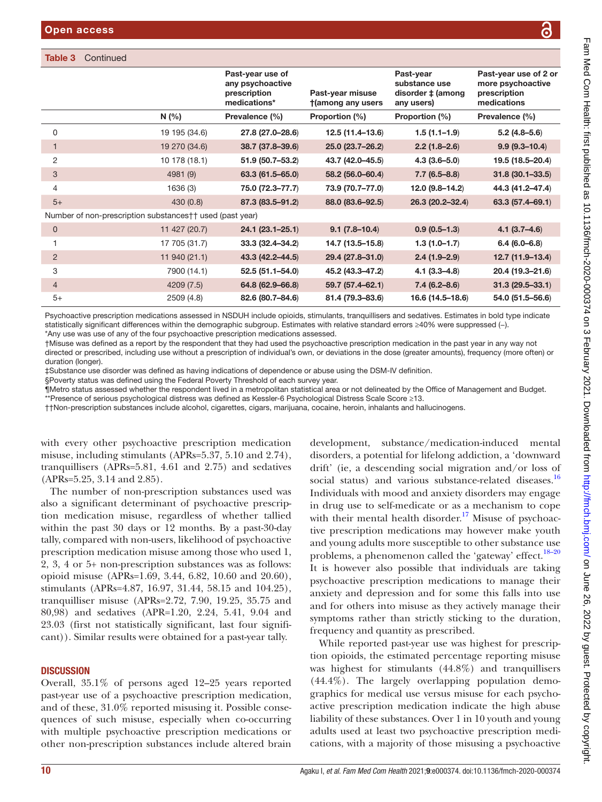#### Table 3 Continued

|                                                          |               | Past-year use of<br>any psychoactive<br>prescription<br>medications* | Past-year misuse<br>tamong any users | Past-year<br>substance use<br>disorder ‡ (among<br>any users) | Past-year use of 2 or<br>more psychoactive<br>prescription<br>medications |
|----------------------------------------------------------|---------------|----------------------------------------------------------------------|--------------------------------------|---------------------------------------------------------------|---------------------------------------------------------------------------|
|                                                          | N(%)          | Prevalence (%)                                                       | Proportion (%)                       | Proportion (%)                                                | Prevalence (%)                                                            |
| 0                                                        | 19 195 (34.6) | 27.8 (27.0-28.6)                                                     | 12.5 (11.4-13.6)                     | $1.5(1.1-1.9)$                                                | $5.2(4.8 - 5.6)$                                                          |
|                                                          | 19 270 (34.6) | 38.7 (37.8-39.6)                                                     | 25.0 (23.7-26.2)                     | $2.2(1.8-2.6)$                                                | $9.9(9.3 - 10.4)$                                                         |
| 2                                                        | 10 178 (18.1) | 51.9 (50.7-53.2)                                                     | 43.7 (42.0-45.5)                     | $4.3(3.6 - 5.0)$                                              | 19.5 (18.5-20.4)                                                          |
| 3                                                        | 4981 (9)      | $63.3(61.5 - 65.0)$                                                  | 58.2 (56.0-60.4)                     | $7.7(6.5 - 8.8)$                                              | $31.8(30.1 - 33.5)$                                                       |
| 4                                                        | 1636 (3)      | 75.0 (72.3-77.7)                                                     | 73.9 (70.7-77.0)                     | 12.0 (9.8-14.2)                                               | 44.3 (41.2-47.4)                                                          |
| $5+$                                                     | 430 (0.8)     | 87.3 (83.5-91.2)                                                     | 88.0 (83.6-92.5)                     | 26.3 (20.2-32.4)                                              | $63.3(57.4 - 69.1)$                                                       |
| Number of non-prescription substances†† used (past year) |               |                                                                      |                                      |                                                               |                                                                           |
| $\mathbf{0}$                                             | 11 427 (20.7) | $24.1 (23.1 - 25.1)$                                                 | $9.1(7.8-10.4)$                      | $0.9(0.5-1.3)$                                                | $4.1(3.7-4.6)$                                                            |
|                                                          | 17 705 (31.7) | 33.3 (32.4-34.2)                                                     | 14.7 (13.5-15.8)                     | $1.3(1.0-1.7)$                                                | $6.4(6.0 - 6.8)$                                                          |
| 2                                                        | 11 940 (21.1) | 43.3 (42.2-44.5)                                                     | 29.4 (27.8-31.0)                     | $2.4(1.9-2.9)$                                                | 12.7 (11.9-13.4)                                                          |
| 3                                                        | 7900 (14.1)   | $52.5(51.1 - 54.0)$                                                  | 45.2 (43.3-47.2)                     | $4.1(3.3 - 4.8)$                                              | 20.4 (19.3-21.6)                                                          |
| $\overline{4}$                                           | 4209 (7.5)    | 64.8 (62.9-66.8)                                                     | 59.7 (57.4-62.1)                     | $7.4(6.2 - 8.6)$                                              | $31.3(29.5 - 33.1)$                                                       |
| $5+$                                                     | 2509 (4.8)    | 82.6 (80.7-84.6)                                                     | 81.4 (79.3-83.6)                     | 16.6 (14.5-18.6)                                              | 54.0 (51.5-56.6)                                                          |

Psychoactive prescription medications assessed in NSDUH include opioids, stimulants, tranquillisers and sedatives. Estimates in bold type indicate statistically significant differences within the demographic subgroup. Estimates with relative standard errors ≥40% were suppressed (−). \*Any use was use of any of the four psychoactive prescription medications assessed.

†Misuse was defined as a report by the respondent that they had used the psychoactive prescription medication in the past year in any way not directed or prescribed, including use without a prescription of individual's own, or deviations in the dose (greater amounts), frequency (more often) or duration (longer).

‡Substance use disorder was defined as having indications of dependence or abuse using the DSM-IV definition.

§Poverty status was defined using the Federal Poverty Threshold of each survey year.

¶Metro status assessed whether the respondent lived in a metropolitan statistical area or not delineated by the Office of Management and Budget.

\*\*Presence of serious psychological distress was defined as Kessler-6 Psychological Distress Scale Score ≥13.

††Non-prescription substances include alcohol, cigarettes, cigars, marijuana, cocaine, heroin, inhalants and hallucinogens.

with every other psychoactive prescription medication misuse, including stimulants (APRs=5.37, 5.10 and 2.74), tranquillisers (APRs=5.81, 4.61 and 2.75) and sedatives (APRs=5.25, 3.14 and 2.85).

The number of non-prescription substances used was also a significant determinant of psychoactive prescription medication misuse, regardless of whether tallied within the past 30 days or 12 months. By a past-30-day tally, compared with non-users, likelihood of psychoactive prescription medication misuse among those who used 1, 2, 3, 4 or 5+ non-prescription substances was as follows: opioid misuse (APRs=1.69, 3.44, 6.82, 10.60 and 20.60), stimulants (APRs=4.87, 16.97, 31.44, 58.15 and 104.25), tranquilliser misuse (APRs=2.72, 7.90, 19.25, 35.75 and 80,98) and sedatives (APR=1.20, 2.24, 5.41, 9.04 and 23.03 (first not statistically significant, last four significant)). Similar results were obtained for a past-year tally.

#### **DISCUSSION**

Overall, 35.1% of persons aged 12–25 years reported past-year use of a psychoactive prescription medication, and of these, 31.0% reported misusing it. Possible consequences of such misuse, especially when co-occurring with multiple psychoactive prescription medications or other non-prescription substances include altered brain

development, substance/medication-induced mental disorders, a potential for lifelong addiction, a 'downward drift' (ie, a descending social migration and/or loss of social status) and various substance-related diseases.<sup>[16](#page-16-10)</sup> Individuals with mood and anxiety disorders may engage in drug use to self-medicate or as a mechanism to cope with their mental health disorder.<sup>[17](#page-16-11)</sup> Misuse of psychoactive prescription medications may however make youth and young adults more susceptible to other substance use problems, a phenomenon called the 'gateway' effect.<sup>18-20</sup> It is however also possible that individuals are taking psychoactive prescription medications to manage their anxiety and depression and for some this falls into use and for others into misuse as they actively manage their symptoms rather than strictly sticking to the duration, frequency and quantity as prescribed.

While reported past-year use was highest for prescription opioids, the estimated percentage reporting misuse was highest for stimulants (44.8%) and tranquillisers (44.4%). The largely overlapping population demographics for medical use versus misuse for each psychoactive prescription medication indicate the high abuse liability of these substances. Over 1 in 10 youth and young adults used at least two psychoactive prescription medications, with a majority of those misusing a psychoactive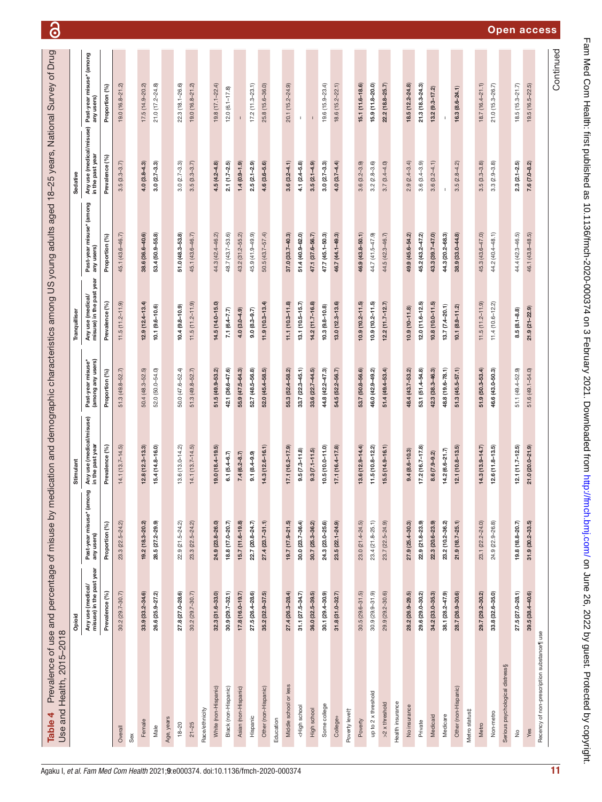| Use and Health, 2015-2018                                                                                                                                                                                                                                                                                                        | Opioid                                        |                                        | Stimulant                                    |                                        | Tranquilliser                                 |                                        | Sedative                                     |                                        |
|----------------------------------------------------------------------------------------------------------------------------------------------------------------------------------------------------------------------------------------------------------------------------------------------------------------------------------|-----------------------------------------------|----------------------------------------|----------------------------------------------|----------------------------------------|-----------------------------------------------|----------------------------------------|----------------------------------------------|----------------------------------------|
|                                                                                                                                                                                                                                                                                                                                  | Any use (medical/<br>misuse) in the past year | Past-year misuse* (among<br>any users) | Any use (medical/misuse)<br>in the past year | Past-year misuse*<br>(among any users) | Any use (medical/<br>misuse) in the past year | Past-year misuse* (among<br>any users) | Any use (medical/misuse)<br>in the past year | Past-year misuse* (among<br>any users) |
|                                                                                                                                                                                                                                                                                                                                  | Prevalence (%)                                | Proportion (%)                         | Prevalence (%)                               | Proportion (%)                         | Prevalence (%)                                | Proportion (%)                         | Prevalence (%)                               | Proportion (%)                         |
| Overall                                                                                                                                                                                                                                                                                                                          | $30.2(29.7 - 30.7)$                           | 23.3 (22.5-24.2)                       | $14.1(13.7 - 14.5)$                          | $51.3(49.8 - 52.7)$                    | $11.5(11.2 - 11.9)$                           | 45.1 (43.6-46.7)                       | $3.5(3.3 - 3.7)$                             | 19.0 (16.8-21.2)                       |
| Sex                                                                                                                                                                                                                                                                                                                              |                                               |                                        |                                              |                                        |                                               |                                        |                                              |                                        |
| Female                                                                                                                                                                                                                                                                                                                           | 33.9 (33.2-34.6)                              | 19.2 (18.3-20.2)                       | $12.8(12.3 - 13.3)$                          | 50.4 (48.3-52.5)                       | $12.9(12.4 - 13.4)$                           | 38.6 (36.6-40.6)                       | $4.0(3.8-4.3)$                               | 17.5 (14.9-20.2)                       |
| Male                                                                                                                                                                                                                                                                                                                             | 26.6 (25.9-27.2)                              | 28.5 (27.2-29.9)                       | 15.4 (14.8-16.0)                             | 52.0 (50.0-54.0)                       | $10.1 (9.6 - 10.6)$                           | 53.4 (50.9-55.8)                       | $3.0(2.7 - 3.3)$                             | 21.0 (17.2-24.8)                       |
| Age, years                                                                                                                                                                                                                                                                                                                       |                                               |                                        |                                              |                                        |                                               |                                        |                                              |                                        |
| $18 - 20$                                                                                                                                                                                                                                                                                                                        | 27.8 (27.0-28.6)                              | 22.9 (21.5-24.2)                       | $13.6(13.0 - 14.2)$                          | 50.0 (47.6-52.4)                       | $10.4(9.8 - 10.9)$                            | 51.0 (48.3-53.8)                       | $3.0(2.7 - 3.3)$                             | 22.3 (18.1-26.6)                       |
| $21 - 25$                                                                                                                                                                                                                                                                                                                        | $30.2(29.7 - 30.7)$                           | 23.3 (22.5-24.2)                       | $14.1(13.7 - 14.5)$                          | $51.3(49.8 - 52.7)$                    | $11.5(11.2 - 11.9)$                           | 45.1 (43.6-46.7)                       | $3.5(3.3 - 3.7)$                             | 19.0 (16.8-21.2)                       |
| Race/ethnicity                                                                                                                                                                                                                                                                                                                   |                                               |                                        |                                              |                                        |                                               |                                        |                                              |                                        |
| White (non-Hispanic)                                                                                                                                                                                                                                                                                                             | $32.3(31.6-33.0)$                             | 24.9 (23.8-26.0)                       | 19.0 (18.4-19.5)                             | 51.5 (49.9-53.2)                       | 14.5 (14.0-15.0)                              | 44.3 (42.4-46.2)                       | $4.5(4.2 - 4.8)$                             | 19.8 (17.1-22.4)                       |
| Black (non-Hispanic)                                                                                                                                                                                                                                                                                                             | $30.9(29.7-32.1)$                             | 18.8 (17.0-20.7)                       | $6.1 (5.4 - 6.7)$                            | 42.1 (36.6-47.6)                       | $7.1(6.4 - 7.7)$                              | 48.7 (43.7-53.6)                       | $2.1(1.7 - 2.5)$                             | $12.0(6.1 - 17.8)$                     |
| Asian (non-Hispanic)                                                                                                                                                                                                                                                                                                             | $17.8(16.0 - 19.7)$                           | 15.7 (11.6-19.8)                       | $7.4(6.2 - 8.7)$                             | 55.9 (47.5-64.3)                       | $4.0(3.0-4.9)$                                | 43.2 (31.2-55.2)                       | $1.4(0.9 - 1.9)$                             |                                        |
| Hispanic                                                                                                                                                                                                                                                                                                                         | 27.5 (26.4-28.6)                              | 22.7 (20.8-24.7)                       | $9.1(8.4 - 9.9)$                             | 52.7 (48.5-56.8)                       | $9.0(8.3 - 9.7)$                              | 45.9 (41.9-49.9)                       | $2.5(2.1 - 2.9)$                             | $17.2(11.3 - 23.1)$                    |
| Other (non-Hispanic)                                                                                                                                                                                                                                                                                                             | 35.2 (32.9-37.5)                              | $27.4(23.7 - 31.1)$                    | 14.3 (12.6-16.1)                             | 52.0 (45.4-58.5)                       | $11.9(10.3 - 13.4)$                           | 50.5 (43.7-57.4)                       | 4.6 (3.6-5.6)                                | 25.8 (15.6-36.0)                       |
| Education                                                                                                                                                                                                                                                                                                                        |                                               |                                        |                                              |                                        |                                               |                                        |                                              |                                        |
| Middle school or less                                                                                                                                                                                                                                                                                                            | 27.4 (26.3-28.4)                              | 19.7 (17.9-21.5)                       | 17.1 (16.2-17.9)                             | 55.3 (52.4-58.2)                       | $11.1(10.3 - 11.8)$                           | 37.0 (33.7-40.3)                       | $3.6(3.2 - 4.1)$                             | 20.1 (15.2-24.9)                       |
| <high school<="" td=""><td><math>31.1 (27.5 - 34.7)</math></td><td>30.0 (23.7-36.4)</td><td><math>9.5(7.3 - 11.8)</math></td><td><math>33.7(22.3 - 45.1)</math></td><td><math>13.1(10.5 - 15.7)</math></td><td>51.4 (40.9-62.0)</td><td><math>4.1 (2.4 - 5.8)</math></td><td><math display="inline">\mathsf I</math></td></high> | $31.1 (27.5 - 34.7)$                          | 30.0 (23.7-36.4)                       | $9.5(7.3 - 11.8)$                            | $33.7(22.3 - 45.1)$                    | $13.1(10.5 - 15.7)$                           | 51.4 (40.9-62.0)                       | $4.1 (2.4 - 5.8)$                            | $\mathsf I$                            |
| High school                                                                                                                                                                                                                                                                                                                      | $36.0(32.5-39.5)$                             | 30.7 (25.3-36.2)                       | $9.3(7.1 - 11.5)$                            | 33.6 (22.7-44.5)                       | $14.2(11.7 - 16.8)$                           | 47.1 (37.6-56.7)                       | $3.5(2.1 - 4.9)$                             |                                        |
| Some college                                                                                                                                                                                                                                                                                                                     | 30.1 (29.4-30.9)                              | 24.3 (23.0-25.6)                       | $10.5(10.0 - 11.0)$                          | 44.8 (42.2-47.3)                       | $10.3(9.8 - 10.8)$                            | 47.7 (45.1-50.3)                       | $3.0(2.7 - 3.3)$                             | $19.6(15.9 - 23.4)$                    |
| College+                                                                                                                                                                                                                                                                                                                         | $31.8$ $(31.0 - 32.7)$                        | 23.5 (22.1-24.9)                       | $17.1(16.4 - 17.8)$                          | 54.5 (52.2-56.7)                       | $13.0(12.3 - 13.6)$                           | 46.7 (44.1-49.3)                       | $4.0 (3.7 - 4.4)$                            | $18.6(15.2 - 22.1)$                    |
| Poverty levelt                                                                                                                                                                                                                                                                                                                   |                                               |                                        |                                              |                                        |                                               |                                        |                                              |                                        |
| Poverty                                                                                                                                                                                                                                                                                                                          | $30.5(29.6 - 31.5)$                           | 23.0 (21.4-24.5)                       | $13.6(12.9 - 14.4)$                          | 53.7 (50.8-56.6)                       | $10.9(10.2 - 11.5)$                           | 46.9 (43.8-50.1)                       | $3.6(3.2 - 3.9)$                             | 15.1 (11.6-18.6)                       |
| up to 2 x threshold                                                                                                                                                                                                                                                                                                              | 30.9 (29.9-31.9)                              | 23.4 (21.8-25.1)                       | $11.5(10.8 - 12.2)$                          | 46.0 (42.9-49.2)                       | $10.9(10.2 - 11.5)$                           | 44.7 (41.5-47.9)                       | $3.2(2.8 - 3.6)$                             | 15.9 (11.8-20.0)                       |
| $>2 \times$ threshold                                                                                                                                                                                                                                                                                                            | 29.9 (29.2-30.6)                              | 23.7 (22.5-24.9)                       | $15.5(14.9 - 16.1)$                          | 51.4 (49.4-53.4)                       | $12.2(11.7 - 12.7)$                           | 44.5 (42.3-46.7)                       | $3.7(3.4 - 4.0)$                             | 22.2 (18.8-25.7)                       |
| Health insurance                                                                                                                                                                                                                                                                                                                 |                                               |                                        |                                              |                                        |                                               |                                        |                                              |                                        |
| No insurance                                                                                                                                                                                                                                                                                                                     | 28.2 (26.9-29.5)                              | 27.9 (25.4-30.3)                       | $9.4(8.6 - 10.3)$                            | 48.4 (43.7-53.2)                       | $10.9(10 - 11.8)$                             | 49.9 (45.6-54.2)                       | $2.9(2.4 - 3.4)$                             | $18.5(12.2 - 24.8)$                    |
| Private                                                                                                                                                                                                                                                                                                                          | 29.6 (29.0-30.2)                              | 22.9 (21.8-23.9)                       | $17.2(16.7 - 17.8)$                          | 53.1 (51.4-54.8)                       | 12.0 (11.6-12.5)                              | 45.2 (43.2-47.2)                       | $3.6(3.4 - 3.9)$                             | 21.3 (18.3-24.3)                       |
| Medicaid                                                                                                                                                                                                                                                                                                                         | 34.2 (33.0-35.3)                              | 22.3 (20.6-23.9)                       | 8.6 (7.9-9.2)                                | 42.3 (38.3-46.3)                       | 10.8 (10.0-11.5)                              | 43.3 (39.7-47.0)                       | $3.6(3.2 - 4.1)$                             | $13.2$ $(9.3 - 17.2)$                  |
| Medicare                                                                                                                                                                                                                                                                                                                         | 38.1 (28.2-47.9)                              | 23.2 (10.2-36.2)                       | 14.2 (6.6-21.7)                              | 48.8 (19.6-78.1)                       | $13.7 (7.4 - 20.1)$                           | 44.3 (20.2-68.3)                       |                                              |                                        |
| Other (non-Hispanic)                                                                                                                                                                                                                                                                                                             | 28.7 (26.9-30.6)                              | $21.9(18.7 - 25.1)$                    | $12.1(10.8 - 13.5)$                          | $51.3(45.5 - 57.1)$                    | $10.1 (8.9 - 11.2)$                           | 38.9 (33.0-44.8)                       | $3.5(2.8 - 4.2)$                             | $16.3(8.6 - 24.1)$                     |
| Metro status‡                                                                                                                                                                                                                                                                                                                    |                                               |                                        |                                              |                                        |                                               |                                        |                                              |                                        |
| Metro                                                                                                                                                                                                                                                                                                                            | 29.7 (29.2-30.2)                              | 23.1 (22.2-24.0)                       | $14.3(13.9 - 14.7)$                          | 51.9 (50.3-53.4)                       | $11.5(11.2 - 11.9)$                           | 45.3 (43.6-47.0)                       | $3.5(3.3 - 3.8)$                             | $18.7(16.4 - 21.1)$                    |
| Non-metro                                                                                                                                                                                                                                                                                                                        | 33.8 (32.6-35.0)                              | 24.9 (22.9-26.8)                       | $12.6(11.8 - 13.5)$                          | 46.6 (43.0-50.3)                       | $11.4(10.6 - 12.2)$                           | 44.2 (40.4-48.1)                       | $3.3(2.9 - 3.8)$                             | 21.0 (15.3-26.7)                       |
| Serious psychological distress§                                                                                                                                                                                                                                                                                                  |                                               |                                        |                                              |                                        |                                               |                                        |                                              |                                        |
| $\stackrel{\circ}{\simeq}$                                                                                                                                                                                                                                                                                                       | $27.5(27.0 - 28.1)$                           | 19.8 (18.8-20.7)                       | $12.1(11.7 - 12.5)$                          | 51.1 (49.4-52.9)                       | $8.5(8.1 - 8.8)$                              | 44.4 (42.3-46.5)                       | $2.3(2.1 - 2.5)$                             | $18.5(15.3 - 21.7)$                    |
| Yes                                                                                                                                                                                                                                                                                                                              | $39.5(38.4 - 40.6)$                           | $31.9$ $(30.2 - 33.5)$                 | 21.0 (20.0-21.9)                             | 51.6 (49.1-54.0)                       | 21.9 (21-22.9)                                | 46.1 (43.8-48.5)                       | $7.6(7.0-8.2)$                               | $19.5(16.5-22.5)$                      |
| Recency of non-prescription substance¶ use                                                                                                                                                                                                                                                                                       |                                               |                                        |                                              |                                        |                                               |                                        |                                              |                                        |
|                                                                                                                                                                                                                                                                                                                                  |                                               |                                        |                                              |                                        |                                               |                                        |                                              | Continued                              |

<span id="page-10-0"></span>

# Fam Med Com Health: first published as 10.1136/fmch-2020-000374 on 3 February 2021. Downloaded from http://fmch.bmj.com/ on June 26, 2022 by guest. Protected by copyright. Fam Med Com Health: first published as 10.1136/fmch-2020-000374 on 3 February 2021. Downloaded from <http://fmch.bmj.com/> on June 26, 2022 by guest. Protected by copyright

# Open access

6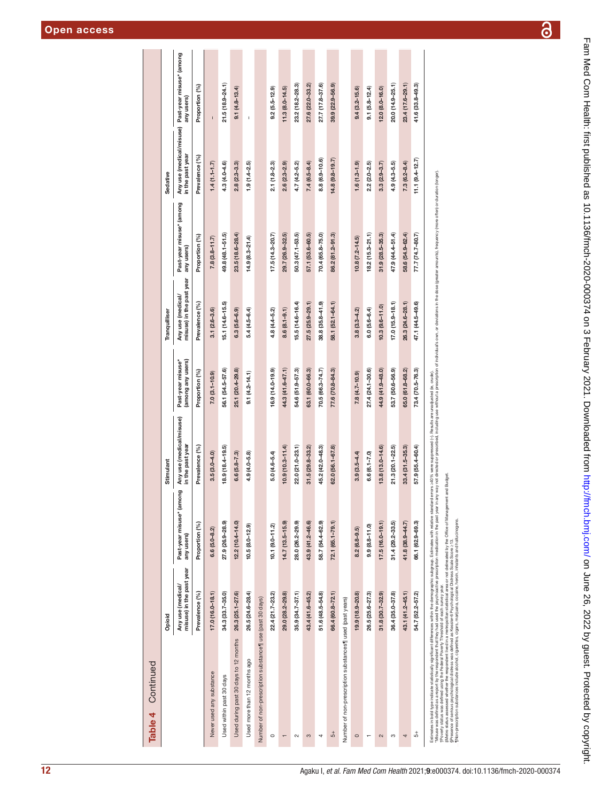| Table 4 Continued                                                                                                                                                                                            |                                               |                                        |                                              |                                        |                                               |                                        |                    |                                                                 |
|--------------------------------------------------------------------------------------------------------------------------------------------------------------------------------------------------------------|-----------------------------------------------|----------------------------------------|----------------------------------------------|----------------------------------------|-----------------------------------------------|----------------------------------------|--------------------|-----------------------------------------------------------------|
|                                                                                                                                                                                                              | Opioid                                        |                                        | Stimulant                                    |                                        | Tranquilliser                                 |                                        | Sedative           |                                                                 |
|                                                                                                                                                                                                              | misuse) in the past year<br>Any use (medical/ | Past-year misuse* (among<br>any users) | Any use (medical/misuse)<br>in the past year | (among any users)<br>Past-year misuse* | misuse) in the past year<br>Any use (medical/ | Past-year misuse* (among<br>any users) | in the past year   | Any use (medical/misuse) Past-year misuse* (among<br>any users) |
|                                                                                                                                                                                                              | Prevalence (%)                                | Proportion (%)                         | Prevalence (%)                               | Proportion (%)                         | Prevalence (%)                                | Proportion (%)                         | Prevalence (%)     | Proportion (%)                                                  |
| Never used any substance                                                                                                                                                                                     | $17.0(16.0 - 18.1)$                           | $6.6(5.0 - 8.2)$                       | $3.5(3.0 - 4.0)$                             | $7.0(3.1 - 10.9)$                      | $3.1(2.6 - 3.6)$                              | $7.8(3.8 - 11.7)$                      | $1.4(1.1 - 1.7)$   | $\mathbf{I}$                                                    |
| Used within past 30 days                                                                                                                                                                                     | 34.3 (33.7-35.0)                              | 27.9 (26.9-28.9)                       | $18.9(18.4 - 19.5)$                          | 56.1 (54.5-57.6)                       | $15.1(14.6 - 15.5)$                           | 49.8 (48.1-51.5)                       | $4.3(4.0 - 4.6)$   | $21.5(18.9 - 24.1)$                                             |
| Used during past 30 days to 12 months                                                                                                                                                                        | $26.3(25.1 - 27.6)$                           | $12.2(10.4 - 14.0)$                    | $6.6$ (5.8-7.3)                              | 25.1 (20.4-29.8)                       | $6.3(5.6-6.9)$                                | $23.5(18.6 - 28.4)$                    | $2.8(2.3 - 3.3)$   | $9.1(4.8 - 13.4)$                                               |
| Used more than 12 months ago                                                                                                                                                                                 | 26.5 (24.6-28.4)                              | $10.5(8.0 - 12.9)$                     | 4.9 (4.0-5.8)                                | $9.1(4.2 - 14.1)$                      | $5.4(4.5-6.4)$                                | $14.9(8.3 - 21.4)$                     | $1.9(1.4-2.5)$     | I.                                                              |
| Number of non-prescription substance    use (past 30 days)                                                                                                                                                   |                                               |                                        |                                              |                                        |                                               |                                        |                    |                                                                 |
| $\circ$                                                                                                                                                                                                      | 22.4 (21.7-23.2)                              | $10.1 (9.0 - 11.2)$                    | 5.0 (4.6-5.4)                                | $16.9(14.0 - 19.9)$                    | $4.8(4.4-5.2)$                                | $17.5(14.3 - 20.7)$                    | $2.1(1.8 - 2.3)$   | $9.2(5.5 - 12.9)$                                               |
|                                                                                                                                                                                                              | 29.0 (28.2-29.8)                              | 14.7 (13.5-15.9)                       | $10.9(10.3 - 11.4)$                          | 44.3 (41.6-47.1)                       | $8.6(8.1 - 9.1)$                              | 29.7 (26.9-32.5)                       | $2.6(2.3 - 2.9)$   | $11.3(8.0 - 14.5)$                                              |
| $\sim$                                                                                                                                                                                                       | $35.9(34.7 - 37.1)$                           | 28.0 (26.2-29.9)                       | 22.0 (21.0-23.1)                             | 54.6 (51.9-57.3)                       | 15.5 (14.6-16.4)                              | 50.3 (47.1-53.5)                       | $4.7(4.2 - 5.2)$   | 23.2 (18.2-28.3)                                                |
| 3                                                                                                                                                                                                            | 43.4 (41.6-45.2)                              | 43.9 (41.2-46.6)                       | $31.5(29.8 - 33.2)$                          | 63.1 (60.0-66.3)                       | $27.5(25.9 - 29.1)$                           | 57.1 (53.6-60.5)                       | $7.4(6.5 - 8.4)$   | 27.6 (22.0-33.2)                                                |
| 4                                                                                                                                                                                                            | 51.6 (48.5-54.8)                              | 58.7 (54.4-62.9)                       | 45.2 (42.0-48.3)                             | $70.5(66.3 - 74.7)$                    | $38.8(35.8 - 41.9)$                           | 70.4 (65.8-75.0)                       | 8.8 (6.9-10.6)     | 27.7 (17.8-37.6)                                                |
| $\overline{5}$                                                                                                                                                                                               | 66.4 (60.8-72.1)                              | $72.1(65.1 - 79.1)$                    | 62.0 (56.1-67.8)                             | 77.6 (70.8-84.3)                       | 58.1 (52.1-64.1)                              | 86.2 (81.2-91.3)                       | $14.8(9.8 - 19.7)$ | 39.9 (22.9-56.9)                                                |
| Number of non-prescription substances i used (past years)                                                                                                                                                    |                                               |                                        |                                              |                                        |                                               |                                        |                    |                                                                 |
| $\circ$                                                                                                                                                                                                      | 19.9 (18.9-20.8)                              | $8.2(6.8 - 9.5)$                       | $3.9(3.5 - 4.4)$                             | $7.8(4.7 - 10.9)$                      | $3.8(3.3 - 4.2)$                              | $10.8(7.2 - 14.5)$                     | $1.6(1.3 - 1.9)$   | $9.4(3.2 - 15.6)$                                               |
|                                                                                                                                                                                                              | 26.5 (25.6-27.3)                              | $9.9(8.8 - 11.0)$                      | $6.6(6.1 - 7.0)$                             | 27.4 (24.1-30.6)                       | $6.0 (5.6 - 6.4)$                             | $18.2(15.3 - 21.1)$                    | $2.2(2.0 - 2.5)$   | $9.1(5.8 - 12.4)$                                               |
| $\sim$                                                                                                                                                                                                       | $31.8(30.7 - 32.9)$                           | $17.5(16.0 - 19.1)$                    | $13.8(13.0 - 14.6)$                          | 44.9 (41.9-48.0)                       | $10.3(9.6 - 11.0)$                            | $31.9(28.5 - 35.3)$                    | $3.3(2.9 - 3.7)$   | $12.0 (8.0 - 16.0)$                                             |
| S                                                                                                                                                                                                            | 36.4 (35.0-37.8)                              | $31.4(29.2 - 33.5)$                    | $21.3(20.1 - 22.5)$                          | 53.7 (50.6-56.9)                       | $17.0(15.9 - 18.1)$                           | 47.9 (44.4-51.4)                       | $4.9(4.3 - 5.5)$   | 20.0 (14.9-25.1)                                                |
| 4                                                                                                                                                                                                            | 43.1 (41.2-45.1)                              | 41.8 (38.9-44.7)                       | 33.4 (31.5-35.3)                             | 65.0 (61.8-68.2)                       | 26.3 (24.6-28.1)                              | 58.6 (54.9-62.4)                       | $7.3(6.2 - 8.4)$   | 23.4 (17.6-29.1)                                                |
| $\overline{5}$                                                                                                                                                                                               | 54.7 (52.2-57.2)                              | 66.1 (62.9-69.3)                       | 57.9 (55.4-60.4)                             | 73.4 (70.5-76.3)                       | 47.1 (44.5-49.6)                              | 77.7 (74.7-80.7)                       | $11.1(9.4 - 12.7)$ | 41.6 (33.8-49.3)                                                |
| Estimates in bold type indicate statistically significant differences within the demographic subgroup. Estimates with relative standard errors >40% were suppressed (-). Results are unadjusted (ie, crude). |                                               |                                        |                                              |                                        |                                               |                                        |                    |                                                                 |

amounts), frequency (more often) or duration (longer). Misuse was defined as a report on the resondent that the had used the peck medication in the past may not directed or prescribed. Including use without a prescription of individual's own, or deviations in the dose (greater iations in the dose (greater  $\overline{\sigma}$ DWN. 'Misse was defined by the regordent that they had used the popolation mediation in the past year is any way not deed or prescribed including the method of individuals.<br>The method was experienced by the product of the produ

†Poverty status was defined using the Federal Poverty Threshold of each survey year. ‡Metro status assessed whether the respondent lived in a metropolitan statistical area or not delineated by the Office of Management and Budget.

§Presence of serious psychological distress was defined as Kessler-6 Psychological Distress Scale Score ≥13.

¶Non-prescription substances include alcohol, cigarettes, cigars, marijuana, cocaine, heroin, inhalants and hallucinogens.

 $\overline{\partial}$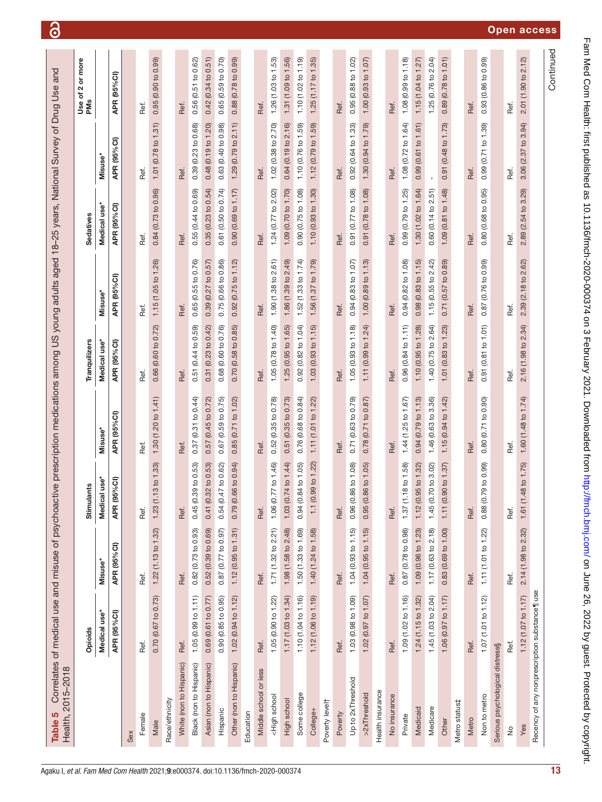<span id="page-12-0"></span>

|                                                                                                                                                                                                                                                                                           | Opioids             |                          | <b>Stimulants</b>           |                                | Tranquilizers          |                     | Sedatives              |                               | more<br>ŏ<br>$\mathbf{\Omega}$<br>৳<br>PMS<br><b>Jse</b> |
|-------------------------------------------------------------------------------------------------------------------------------------------------------------------------------------------------------------------------------------------------------------------------------------------|---------------------|--------------------------|-----------------------------|--------------------------------|------------------------|---------------------|------------------------|-------------------------------|----------------------------------------------------------|
|                                                                                                                                                                                                                                                                                           | Medical use*        | Misuse'                  | Medical use*                | Misuse <sup>*</sup>            | Medical use*           | Misuse'             | Medical use*           | Misuse <sup>*</sup>           |                                                          |
|                                                                                                                                                                                                                                                                                           | <b>APR (95%CI)</b>  | APR (95%CI)              | <b>APR (95%CI)</b>          | APR (95%CI)                    | APR (95%CI)            | APR (95%CI)         | APR (95%CI)            | APR (95%CI)                   | APR (95%CI)                                              |
| Sex                                                                                                                                                                                                                                                                                       |                     |                          |                             |                                |                        |                     |                        |                               |                                                          |
| Female                                                                                                                                                                                                                                                                                    | Ref.                | Ref.                     | Ref.                        | Ref.                           | Ref.                   | Ref.                | Ref.                   | Ref.                          | Ref.                                                     |
| Male                                                                                                                                                                                                                                                                                      | 0.70 (0.67 to 0.73) | 1.22 (1.13 to 1.32)      | 1.23 (1.13 to 1.33)         | 1.30 (1.20 to 1.41)            | 0.66 (0.60 to 0.72)    | 1.15 (1.05 to 1.26) | 0.84 (0.73 to 0.96)    | 1.01 (0.78 to 1.31)           | 0.95(0.90 to 0.99)                                       |
| Race/ethnicity                                                                                                                                                                                                                                                                            |                     |                          |                             |                                |                        |                     |                        |                               |                                                          |
| White (non to Hispanic)                                                                                                                                                                                                                                                                   | Ref.                | Ref.                     | Ref.                        | Ref.                           | Ref.                   | Ref.                | Ref.                   | Ref.                          | Ref.                                                     |
| Black (non to Hispanic)                                                                                                                                                                                                                                                                   | 1.05(0.99 to 1.11)  | 0.82 (0.73 to 0.93)      | 0.45 (0.39 to 0.53)         | 0.37(0.31 to 0.44)             | 0.51 (0.44 to 0.59)    | 0.65 (0.55 to 0.76) | 0.55(0.44 to 0.69)     | 0.39(0.23 to 0.68)            | 0.56 (0.51 to 0.62)                                      |
| Asian (non to Hispanic)                                                                                                                                                                                                                                                                   | 0.69 (0.61 to 0.77) | 0.52(0.39 to 0.69)       | 0.41 (0.32 to 0.53)         | 0.57 (0.45 to 0.72)            | (0.23 to 0.42)<br>0.31 | 0.39 (0.27 to 0.57) | 0.35(0.23 to 0.54)     | 0.48 (0.19 to 1.20)           | 0.42(0.34 to 0.51)                                       |
| Hispanic                                                                                                                                                                                                                                                                                  | 0.90(0.85 to 0.95)  | 0.87 (0.77 to 0.97)      | 0.54 (0.47 to 0.62)         | to 0.75<br>0.67 (0.59          | (0.60 to 0.76)<br>0.68 | 0.75 (0.66 to 0.86) | (0.50 to 0.74)<br>0.61 | 0.63 (0.40 to 0.98)           | 0.65 (0.59 to 0.70)                                      |
| Other (non to Hispanic)                                                                                                                                                                                                                                                                   | 1.02 (0.94 to 1.12) | 1.12(0.95 to 1.31)       | 0.79(0.66 to 0.94)          | $0.85(0.71 \text{ to } 1.02)$  | 0.70 (0.58 to 0.85)    | 0.92(0.75 to 1.12)  | 0.90(0.69 to 1.17)     | 1.29(0.79 to 2.11)            | 0.88 (0.78 to 0.99)                                      |
| Education                                                                                                                                                                                                                                                                                 |                     |                          |                             |                                |                        |                     |                        |                               |                                                          |
| Middle school or less                                                                                                                                                                                                                                                                     | Ref.                | Ref.                     | Ref.                        | Ref.                           | Ref.                   | Ref.                | Ref.                   | Ref.                          | Ref.                                                     |
| <high school<="" td=""><td>1.05 (0.90 to 1.22)</td><td>1.71 (1.32 to 2.21)</td><td>1.06 (0.77 to 1.46)</td><td>0.52(0.35 to 0.78)</td><td>1.05 (0.78 to 1.40)</td><td>1.90 (1.38 to 2.61)</td><td>1.24 (0.77 to 2.02)</td><td>1.02 (0.38 to 2.70)</td><td>1.26 (1.03 to 1.53)</td></high> | 1.05 (0.90 to 1.22) | 1.71 (1.32 to 2.21)      | 1.06 (0.77 to 1.46)         | 0.52(0.35 to 0.78)             | 1.05 (0.78 to 1.40)    | 1.90 (1.38 to 2.61) | 1.24 (0.77 to 2.02)    | 1.02 (0.38 to 2.70)           | 1.26 (1.03 to 1.53)                                      |
| High school                                                                                                                                                                                                                                                                               | 1.17 (1.03 to 1.34) | 1.98 (1.58 to 2.48)      | 1.03 (0.74 to 1.44)         | 0.51 (0.35 to 0.73)            | 1.25 (0.95 to 1.65)    | 1.86 (1.39 to 2.49) | 1.09 (0.70 to 1.70)    | 0.64(0.19 to 2.16)            | 1.31 (1.09 to 1.56)                                      |
| Some college                                                                                                                                                                                                                                                                              | 1.10 (1.04 to 1.16) | 1.50 (1.33 to 1.69)      | 0.94 (0.84 to 1.05)         | 0.76 (0.68 to 0.84)            | 0.92 (0.82 to 1.04)    | 1.52 (1.33 to 1.74) | 0.90 (0.75 to 1.08)    | 1.10 (0.76 to 1.59)           | 1.10 (1.02 to 1.19)                                      |
| College+                                                                                                                                                                                                                                                                                  | 1.12 (1.06 to 1.19) | 1.40 (1.24 to 1.58)      | 1.1 (0.99 to 1.22)          | 1.11 (1.01 to 1.22)            | 1.03 (0.93 to 1.15)    | 1.56 (1.37 to 1.79) | 1.10 (0.93 to 1.30)    | 1.12 (0.79 to 1.59)           | 1.25(1.17 to 1.35)                                       |
| Poverty levelt                                                                                                                                                                                                                                                                            |                     |                          |                             |                                |                        |                     |                        |                               |                                                          |
| Poverty                                                                                                                                                                                                                                                                                   | Ref.                | Ref.                     | Ref.                        | Ref.                           | Ref.                   | Ref.                | Ref.                   | Ref.                          | Ref.                                                     |
| Up to 2xThreshold                                                                                                                                                                                                                                                                         | 1.03 (0.98 to 1.09) | 1.04 (0.93 to 1.15)      | 0.96 (0.86 to 1.08)         | 0.71 (0.63 to 0.79)            | 1.05(0.93 to 1.18)     | 0.94(0.83 to 1.07)  | 0.91 (0.77 to 1.08)    | 0.92(0.64 to 1.33)            | 0.95(0.88 to 1.02)                                       |
| >2xThreshold                                                                                                                                                                                                                                                                              | 1.02 (0.97 to 1.07) | $1.04$ (0.95 to $1.15$ ) | 0.95(0.86 to 1.05)          | 0.78 (0.71 to 0.87)            | 1.11 $(0.99$ to 1.24)  | 1.00(0.89 to 1.13)  | (0.78 to 1.08)<br>0.91 | 1.30 (0.94 to 1.79)           | 1.00 $(0.93$ to 1.07)                                    |
| Health insurance                                                                                                                                                                                                                                                                          |                     |                          |                             |                                |                        |                     |                        |                               |                                                          |
| No insurance                                                                                                                                                                                                                                                                              | Ref.                | Ref.                     | Ref.                        | Ref.                           | Ref.                   | Ref.                | Ref.                   | Ref.                          | Ref.                                                     |
| Private                                                                                                                                                                                                                                                                                   | 1.09 (1.02 to 1.16) | 0.87 (0.78 to 0.98)      | $.18$ to $1.58$ )<br>1.37(1 | 1.44 (1.25 to 1.67)            | 0.96(0.84 to 1.11)     | 0.94 (0.82 to 1.08) | 0.99 (0.79 to 1.25)    | 1.08 $(0.72$ to 1.64)         | 1.08 (0.99 to 1.18)                                      |
| Medicaid                                                                                                                                                                                                                                                                                  | 1.24 (1.15 to 1.32) | 1.09 (0.96 to 1.23)      | 1.12 (0.95 to 1.32)         | 0.94(0.79 to 1.13)             | 1.10 (0.95 to 1.28)    | 0.98(0.83 to 1.15)  | 1.30 (1.02 to 1.64)    | 0.99(0.61 to 1.61)            | 1.15 (1.04 to 1.27)                                      |
| Medicare                                                                                                                                                                                                                                                                                  | 1.45 (1.03 to 2.04) | 1.17 (0.63 to 2.18)      | 1.45 (0.70 to 3.02)         | 1.46 (0.63 to 3.36)            | 1.40 (0.75 to 2.64)    | 1.15(0.55 to 2.42)  | 0.60(0.14 to 2.51)     |                               | 1.25 (0.76 to 2.04)                                      |
| Other                                                                                                                                                                                                                                                                                     | 1.06 (0.97 to 1.17) | 0.83(0.69 to 1.00)       | 1.11 (0.90 to 1.37)         | 1.15 $(0.94 \text{ to } 1.42)$ | 1.01(0.83 to 1.23)     | 0.71(0.57 to 0.89)  | 1.09 (0.81 to 1.48)    | $0.91(0.48 \text{ to } 1.73)$ | 0.89(0.78 to 1.01)                                       |
| Metro status‡                                                                                                                                                                                                                                                                             |                     |                          |                             |                                |                        |                     |                        |                               |                                                          |
| Metro                                                                                                                                                                                                                                                                                     | Ref.                | Ref.                     | Ref.                        | Ref.                           | Ref.                   | Ref.                | Ref.                   | Ref.                          | Ref.                                                     |
| Non to metro                                                                                                                                                                                                                                                                              | 1.07 (1.01 to 1.12) | 1.11 (1.01 to 1.22)      | 0.88 (0.79 to 0.99)         | 0.80 (0.71 to 0.90)            | 0.91 (0.81 to 1.01)    | 0.87 (0.76 to 0.99) | 0.80 (0.68 to 0.95)    | 0.99 (0.71 to 1.39)           | 0.93 (0.86 to 0.99)                                      |
| Serious psychological distress§                                                                                                                                                                                                                                                           |                     |                          |                             |                                |                        |                     |                        |                               |                                                          |
| $\frac{1}{2}$                                                                                                                                                                                                                                                                             | Ref.                | Ref.                     | Ref.                        | Ref.                           | Ref.                   | Ref.                | Ref.                   | Ref.                          | Ref.                                                     |
| Yes                                                                                                                                                                                                                                                                                       | 1.12 (1.07 to 1.17) | 2.14 (1.98 to 2.32)      | 1.61 (1.48 to 1.75)         | 1.60 (1.48 to 1.74)            | 2.16 (1.98 to 2.34)    | 2.39 (2.18 to 2.62) | 2.89 (2.54 to 3.29)    | 3.06 (2.37 to 3.94)           | 2.01 (1.90 to 2.12)                                      |
| Recency of any nonprescription substance¶ use                                                                                                                                                                                                                                             |                     |                          |                             |                                |                        |                     |                        |                               |                                                          |

Fam Med Com Health: first published as 10.1136/fmch-2020-000374 on 3 February 2021. Downloaded from http://fmch.bmj.com/ on June 26, 2022 by guest. Protected by copyright. Fam Med Com Health: first published as 10.1136/fmch-2020-000374 on 3 February 2021. Downloaded from <http://fmch.bmj.com/> on June 26, 2022 by guest. Protected by copyright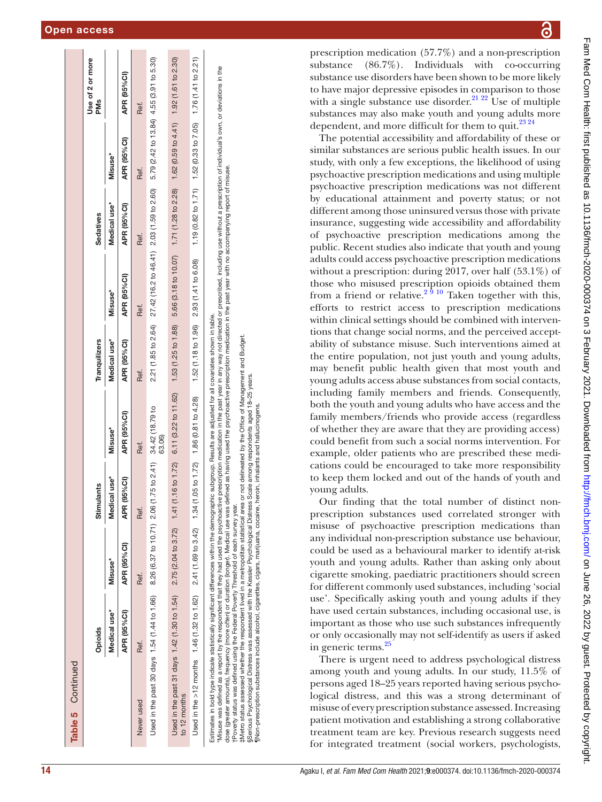| <b>Table 5</b> Continued                                                                                                                                                                                                                                                                                                                                                                                                                                                                                                                                                                                                                                                                                                                                                                                                                                |                |                                    |                           |                                                                                                                                 |                     |                                                                                                        |                                                             |                     |                                |
|---------------------------------------------------------------------------------------------------------------------------------------------------------------------------------------------------------------------------------------------------------------------------------------------------------------------------------------------------------------------------------------------------------------------------------------------------------------------------------------------------------------------------------------------------------------------------------------------------------------------------------------------------------------------------------------------------------------------------------------------------------------------------------------------------------------------------------------------------------|----------------|------------------------------------|---------------------------|---------------------------------------------------------------------------------------------------------------------------------|---------------------|--------------------------------------------------------------------------------------------------------|-------------------------------------------------------------|---------------------|--------------------------------|
|                                                                                                                                                                                                                                                                                                                                                                                                                                                                                                                                                                                                                                                                                                                                                                                                                                                         | <b>Opioids</b> |                                    | dants<br>Stimu            |                                                                                                                                 | Tranquilizers       |                                                                                                        | Sedatives                                                   |                     | Use of 2 or more<br><b>PMs</b> |
|                                                                                                                                                                                                                                                                                                                                                                                                                                                                                                                                                                                                                                                                                                                                                                                                                                                         | Medical use*   | Misuse*                            | cal use*<br>Medio         | Misuse*                                                                                                                         | Medical use*        | Misuse*                                                                                                | Medical use*                                                | Misuse <sup>*</sup> |                                |
|                                                                                                                                                                                                                                                                                                                                                                                                                                                                                                                                                                                                                                                                                                                                                                                                                                                         | APR (95%CI)    | APR (95% CI)                       | (95%C)<br><b>APR</b>      | APR (95%CI)                                                                                                                     | APR (95%CI)         | APR (95%CI)                                                                                            | APR (95%CI)                                                 | APR (95%CI)         | APR (95%CI)                    |
| Never used                                                                                                                                                                                                                                                                                                                                                                                                                                                                                                                                                                                                                                                                                                                                                                                                                                              | Ref.           | Ref.                               | Ref.                      | Ref.                                                                                                                            | Ref.                | Ref.                                                                                                   | Ref.                                                        | Ref.                | Ref.                           |
| Used in the past 30 days $1.54$ (1.44 to 1.66)                                                                                                                                                                                                                                                                                                                                                                                                                                                                                                                                                                                                                                                                                                                                                                                                          |                | 8.26 (6.37 to 10.71) 2.06          |                           | $(1.75 \text{ to } 2.41)$ 34.42 (18.79 to<br>63.06)                                                                             |                     | 2.21 (1.85 to 2.64) 27.42 (16.2 to 46.41) 2.03 (1.59 to 2.60) 5.79 (2.42 to 13.84) 4.55 (3.91 to 5.30) |                                                             |                     |                                |
| Used in the past 31 days 1.42 (1.30 to 1.54)<br>to 12 months                                                                                                                                                                                                                                                                                                                                                                                                                                                                                                                                                                                                                                                                                                                                                                                            |                | $2.75(2.04 \text{ to } 3.72)$ 1.41 | $(1.16 \text{ to } 1.72)$ | 6.11 (3.22 to 11.62)                                                                                                            | 1.53 (1.25 to 1.88) | 5.66 (3.18 to 10.07) 1.71 (1.28 to 2.28) 1.62 (0.59 to 4.41) 1.92 (1.61 to 2.30)                       |                                                             |                     |                                |
| Used in the >12 months 1.46 (1.32 to 1.62) $2.41$ (1.69 to 3.42) 1.34                                                                                                                                                                                                                                                                                                                                                                                                                                                                                                                                                                                                                                                                                                                                                                                   |                |                                    |                           | $(1.05 \text{ to } 1.72)$ $1.86 \, (0.81 \text{ to } 4.28)$ $1.52 \, (1.18 \text{ to } 1.96)$ $2.93 \, (1.41 \text{ to } 6.08)$ |                     |                                                                                                        | 1.19 (0.82 to 1.71) 1.52 (0.33 to 7.05) 1.76 (1.41 to 2.21) |                     |                                |
| Misuse was defined as a report by the respondent that they had used the psychoactive prescription medication in the past year in any way not directed or prescribed, including use without a prescription of individual's own,<br>dose (greater amounts), frequency (more often) or duration (longer). Medical use was defined as having used the psychoactive prescription medication in the past with no accompanying report of misuse.<br>Estimates in bold type indicate statistically significant differences within the demographic subgroup. Results are adjusted for all covariates shown in table.<br>‡Metro status assessed whether the respondent lived in a metropolitan statistical area or not delineated by the Office of Management and Budget.<br>tPoverty status was defined using the Federal Poverty Threshold of each survey year. |                |                                    |                           |                                                                                                                                 |                     |                                                                                                        |                                                             |                     |                                |

§Serious Psychological Distress was assessed with the Kessler Psychological Distress Scale among respondents aged 18–25 years. ¶Non-prescription substances include alcohol, cigarettes, cigars, marijuana, cocaine, heroin, inhalants and hallucinogens.

Serious Psychological Distress was assessed with the Kessler Psychological Distress Scale among respondents aged 18-25 years INon-prescription substances include alcohol, cigarettes, cigars, marijuana, cocaine, heroin, inhalants and hallucinogens.

෬ prescription medication (57.7%) and a non-prescription substance (86.7%). Individuals with co-occurring substance use disorders have been shown to be more likely to have major depressive episodes in comparison to those with a single substance use disorder.<sup>21</sup> <sup>22</sup> Use of multiple substances may also make youth and young adults more dependent, and more difficult for them to quit. $^{23\,24}$ The potential accessibility and affordability of these or

similar substances are serious public health issues. In our study, with only a few exceptions, the likelihood of using psychoactive prescription medications and using multiple psychoactive prescription medications was not different by educational attainment and poverty status; or not different among those uninsured versus those with private insurance, suggesting wide accessibility and affordability of psychoactive prescription medications among the public. Recent studies also indicate that youth and young adults could access psychoactive prescription medications without a prescription: during 2017, over half (53.1%) of those who misused prescription opioids obtained them from a friend or relative.<sup>2 9 10</sup> Taken together with this, efforts to restrict access to prescription medications within clinical settings should be combined with interven tions that change social norms, and the perceived acceptability of substance misuse. Such interventions aimed at the entire population, not just youth and young adults, may benefit public health given that most youth and young adults access abuse substances from social contacts, including family members and friends. Consequently, both the youth and young adults who have access and the family members/friends who provide access (regardless of whether they are aware that they are providing access) could benefit from such a social norms intervention. For example, older patients who are prescribed these medi cations could be encouraged to take more responsibility to keep them locked and out of the hands of youth and young adults.

Our finding that the total number of distinct nonprescription substances used correlated stronger with misuse of psychoactive prescription medications than any individual non-prescription substance use behaviour, could be used as a behavioural marker to identify at-risk youth and young adults. Rather than asking only about cigarette smoking, paediatric practitioners should screen for different commonly used substances, including 'social use'. Specifically asking youth and young adults if they have used certain substances, including occasional use, is important as those who use such substances infrequently or only occasionally may not self-identify as users if asked in generic terms.<sup>25</sup>

There is urgent need to address psychological distress among youth and young adults. In our study, 11.5% of persons aged 18–25 years reported having serious psycho logical distress, and this was a strong determinant of misuse of every prescription substance assessed. Increasing patient motivation and establishing a strong collaborative treatment team are key. Previous research suggests need for integrated treatment (social workers, psychologists,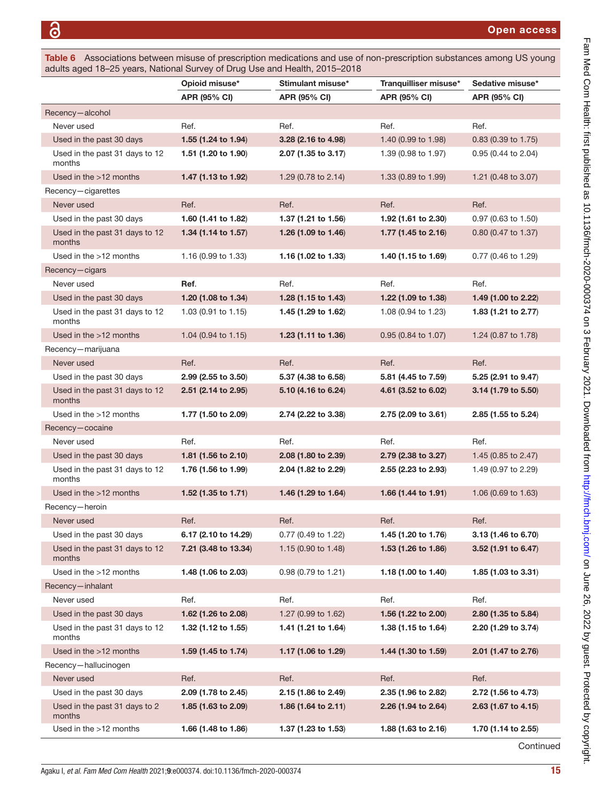<span id="page-14-0"></span>Table 6 Associations between misuse of prescription medications and use of non-prescription substances among US young adults aged 18–25 years, National Survey of Drug Use and Health, 2015–2018

|                                          | Opioid misuse*                 | Stimulant misuse*   | Tranquilliser misuse* | Sedative misuse*               |
|------------------------------------------|--------------------------------|---------------------|-----------------------|--------------------------------|
|                                          | <b>APR (95% CI)</b>            | <b>APR (95% CI)</b> | APR (95% CI)          | <b>APR (95% CI)</b>            |
| Recency-alcohol                          |                                |                     |                       |                                |
| Never used                               | Ref.                           | Ref.                | Ref.                  | Ref.                           |
| Used in the past 30 days                 | 1.55 $(1.24 \text{ to } 1.94)$ | 3.28 (2.16 to 4.98) | 1.40 (0.99 to 1.98)   | $0.83$ (0.39 to 1.75)          |
| Used in the past 31 days to 12<br>months | 1.51 (1.20 to 1.90)            | 2.07 (1.35 to 3.17) | 1.39 (0.98 to 1.97)   | 0.95 (0.44 to 2.04)            |
| Used in the >12 months                   | 1.47 (1.13 to 1.92)            | 1.29 (0.78 to 2.14) | 1.33 (0.89 to 1.99)   | 1.21 (0.48 to 3.07)            |
| Recency-cigarettes                       |                                |                     |                       |                                |
| Never used                               | Ref.                           | Ref.                | Ref.                  | Ref.                           |
| Used in the past 30 days                 | 1.60 (1.41 to 1.82)            | 1.37 (1.21 to 1.56) | 1.92 (1.61 to 2.30)   | $0.97$ (0.63 to 1.50)          |
| Used in the past 31 days to 12<br>months | 1.34 (1.14 to 1.57)            | 1.26 (1.09 to 1.46) | 1.77 (1.45 to 2.16)   | $0.80$ (0.47 to 1.37)          |
| Used in the $>12$ months                 | 1.16 (0.99 to 1.33)            | 1.16 (1.02 to 1.33) | 1.40 (1.15 to 1.69)   | 0.77 (0.46 to 1.29)            |
| Recency-cigars                           |                                |                     |                       |                                |
| Never used                               | Ref.                           | Ref.                | Ref.                  | Ref.                           |
| Used in the past 30 days                 | 1.20 (1.08 to 1.34)            | 1.28 (1.15 to 1.43) | 1.22 (1.09 to 1.38)   | 1.49 (1.00 to 2.22)            |
| Used in the past 31 days to 12<br>months | 1.03 (0.91 to 1.15)            | 1.45 (1.29 to 1.62) | 1.08 (0.94 to 1.23)   | 1.83 (1.21 to 2.77)            |
| Used in the >12 months                   | 1.04 (0.94 to 1.15)            | 1.23 (1.11 to 1.36) | 0.95 (0.84 to 1.07)   | 1.24 (0.87 to 1.78)            |
| Recency-marijuana                        |                                |                     |                       |                                |
| Never used                               | Ref.                           | Ref.                | Ref.                  | Ref.                           |
| Used in the past 30 days                 | $2.99$ (2.55 to 3.50)          | 5.37 (4.38 to 6.58) | 5.81 (4.45 to 7.59)   | 5.25 (2.91 to 9.47)            |
| Used in the past 31 days to 12<br>months | 2.51 (2.14 to 2.95)            | 5.10 (4.16 to 6.24) | 4.61 (3.52 to 6.02)   | 3.14 (1.79 to 5.50)            |
| Used in the >12 months                   | 1.77 (1.50 to 2.09)            | 2.74 (2.22 to 3.38) | 2.75 (2.09 to 3.61)   | 2.85 (1.55 to 5.24)            |
| Recency-cocaine                          |                                |                     |                       |                                |
| Never used                               | Ref.                           | Ref.                | Ref.                  | Ref.                           |
| Used in the past 30 days                 | 1.81 $(1.56 \text{ to } 2.10)$ | 2.08 (1.80 to 2.39) | 2.79 (2.38 to 3.27)   | 1.45 (0.85 to 2.47)            |
| Used in the past 31 days to 12<br>months | 1.76 (1.56 to 1.99)            | 2.04 (1.82 to 2.29) | 2.55 (2.23 to 2.93)   | 1.49 (0.97 to 2.29)            |
| Used in the $>12$ months                 | 1.52 (1.35 to 1.71)            | 1.46 (1.29 to 1.64) | 1.66 (1.44 to 1.91)   | 1.06 (0.69 to 1.63)            |
| Recency-heroin                           |                                |                     |                       |                                |
| Never used                               | Ref.                           | Ref.                | Ref.                  | Ref.                           |
| Used in the past 30 days                 | 6.17 (2.10 to 14.29)           | 0.77 (0.49 to 1.22) | 1.45 (1.20 to 1.76)   | 3.13 (1.46 to 6.70)            |
| Used in the past 31 days to 12<br>months | 7.21 (3.48 to 13.34)           | 1.15 (0.90 to 1.48) | 1.53 (1.26 to 1.86)   | 3.52 (1.91 to 6.47)            |
| Used in the >12 months                   | 1.48 (1.06 to 2.03)            | 0.98 (0.79 to 1.21) | 1.18 (1.00 to 1.40)   | 1.85 $(1.03 \text{ to } 3.31)$ |
| Recency-inhalant                         |                                |                     |                       |                                |
| Never used                               | Ref.                           | Ref.                | Ref.                  | Ref.                           |
| Used in the past 30 days                 | 1.62 (1.26 to 2.08)            | 1.27 (0.99 to 1.62) | 1.56 (1.22 to 2.00)   | 2.80 (1.35 to 5.84)            |
| Used in the past 31 days to 12<br>months | 1.32 (1.12 to 1.55)            | 1.41 (1.21 to 1.64) | 1.38 (1.15 to 1.64)   | 2.20 (1.29 to 3.74)            |
| Used in the >12 months                   | 1.59 (1.45 to 1.74)            | 1.17 (1.06 to 1.29) | 1.44 (1.30 to 1.59)   | 2.01 (1.47 to 2.76)            |
| Recency-hallucinogen                     |                                |                     |                       |                                |
| Never used                               | Ref.                           | Ref.                | Ref.                  | Ref.                           |
| Used in the past 30 days                 | 2.09 (1.78 to 2.45)            | 2.15 (1.86 to 2.49) | 2.35 (1.96 to 2.82)   | 2.72 (1.56 to 4.73)            |
| Used in the past 31 days to 2<br>months  | 1.85 $(1.63 \text{ to } 2.09)$ | 1.86 (1.64 to 2.11) | 2.26 (1.94 to 2.64)   | 2.63 (1.67 to 4.15)            |
| Used in the >12 months                   | 1.66 (1.48 to 1.86)            | 1.37 (1.23 to 1.53) | 1.88 (1.63 to 2.16)   | 1.70 (1.14 to 2.55)            |
|                                          |                                |                     |                       | Continued                      |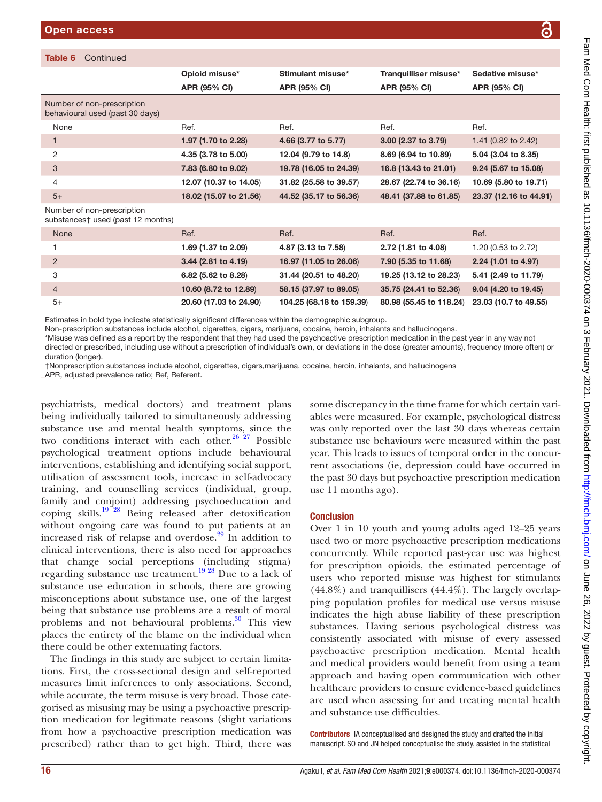| Continued<br>Table 6                                            |                        |                          |                         |                        |
|-----------------------------------------------------------------|------------------------|--------------------------|-------------------------|------------------------|
|                                                                 | Opioid misuse*         | Stimulant misuse*        | Tranquilliser misuse*   | Sedative misuse*       |
|                                                                 | <b>APR (95% CI)</b>    | <b>APR (95% CI)</b>      | <b>APR (95% CI)</b>     | <b>APR (95% CI)</b>    |
| Number of non-prescription<br>behavioural used (past 30 days)   |                        |                          |                         |                        |
| None                                                            | Ref.                   | Ref.                     | Ref.                    | Ref.                   |
| 1                                                               | 1.97 (1.70 to 2.28)    | 4.66 (3.77 to 5.77)      | 3.00 (2.37 to 3.79)     | 1.41 (0.82 to 2.42)    |
| 2                                                               | 4.35 (3.78 to 5.00)    | 12.04 (9.79 to 14.8)     | 8.69 (6.94 to 10.89)    | 5.04 (3.04 to 8.35)    |
| 3                                                               | 7.83 (6.80 to 9.02)    | 19.78 (16.05 to 24.39)   | 16.8 (13.43 to 21.01)   | 9.24 (5.67 to 15.08)   |
| 4                                                               | 12.07 (10.37 to 14.05) | 31.82 (25.58 to 39.57)   | 28.67 (22.74 to 36.16)  | 10.69 (5.80 to 19.71)  |
| $5+$                                                            | 18.02 (15.07 to 21.56) | 44.52 (35.17 to 56.36)   | 48.41 (37.88 to 61.85)  | 23.37 (12.16 to 44.91) |
| Number of non-prescription<br>substances† used (past 12 months) |                        |                          |                         |                        |
| None                                                            | Ref.                   | Ref.                     | Ref.                    | Ref.                   |
|                                                                 | 1.69 (1.37 to 2.09)    | 4.87 (3.13 to 7.58)      | 2.72 (1.81 to 4.08)     | 1.20 (0.53 to 2.72)    |
| $\overline{2}$                                                  | $3.44$ (2.81 to 4.19)  | 16.97 (11.05 to 26.06)   | 7.90 (5.35 to 11.68)    | 2.24 (1.01 to 4.97)    |
| 3                                                               | 6.82 (5.62 to 8.28)    | 31.44 (20.51 to 48.20)   | 19.25 (13.12 to 28.23)  | 5.41 (2.49 to 11.79)   |
| $\overline{4}$                                                  | 10.60 (8.72 to 12.89)  | 58.15 (37.97 to 89.05)   | 35.75 (24.41 to 52.36)  | 9.04 (4.20 to 19.45)   |
| $5+$                                                            | 20.60 (17.03 to 24.90) | 104.25 (68.18 to 159.39) | 80.98 (55.45 to 118.24) | 23.03 (10.7 to 49.55)  |

Estimates in bold type indicate statistically significant differences within the demographic subgroup.

Non-prescription substances include alcohol, cigarettes, cigars, marijuana, cocaine, heroin, inhalants and hallucinogens.

\*Misuse was defined as a report by the respondent that they had used the psychoactive prescription medication in the past year in any way not directed or prescribed, including use without a prescription of individual's own, or deviations in the dose (greater amounts), frequency (more often) or duration (longer).

†Nonprescription substances include alcohol, cigarettes, cigars,marijuana, cocaine, heroin, inhalants, and hallucinogens

APR, adjusted prevalence ratio; Ref, Referent.

psychiatrists, medical doctors) and treatment plans being individually tailored to simultaneously addressing substance use and mental health symptoms, since the two conditions interact with each other. $26 27$  Possible psychological treatment options include behavioural interventions, establishing and identifying social support, utilisation of assessment tools, increase in self-advocacy training, and counselling services (individual, group, family and conjoint) addressing psychoeducation and coping skills.[19 28](#page-16-17) Being released after detoxification without ongoing care was found to put patients at an increased risk of relapse and overdose.<sup>29</sup> In addition to clinical interventions, there is also need for approaches that change social perceptions (including stigma) regarding substance use treatment.<sup>19 28</sup> Due to a lack of substance use education in schools, there are growing misconceptions about substance use, one of the largest being that substance use problems are a result of moral problems and not behavioural problems. $30$  This view places the entirety of the blame on the individual when there could be other extenuating factors.

The findings in this study are subject to certain limitations. First, the cross-sectional design and self-reported measures limit inferences to only associations. Second, while accurate, the term misuse is very broad. Those categorised as misusing may be using a psychoactive prescription medication for legitimate reasons (slight variations from how a psychoactive prescription medication was prescribed) rather than to get high. Third, there was

some discrepancy in the time frame for which certain variables were measured. For example, psychological distress was only reported over the last 30 days whereas certain substance use behaviours were measured within the past year. This leads to issues of temporal order in the concurrent associations (ie, depression could have occurred in the past 30 days but psychoactive prescription medication use 11 months ago).

#### **Conclusion**

Over 1 in 10 youth and young adults aged 12–25 years used two or more psychoactive prescription medications concurrently. While reported past-year use was highest for prescription opioids, the estimated percentage of users who reported misuse was highest for stimulants  $(44.8\%)$  and tranquillisers  $(44.4\%)$ . The largely overlapping population profiles for medical use versus misuse indicates the high abuse liability of these prescription substances. Having serious psychological distress was consistently associated with misuse of every assessed psychoactive prescription medication. Mental health and medical providers would benefit from using a team approach and having open communication with other healthcare providers to ensure evidence-based guidelines are used when assessing for and treating mental health and substance use difficulties.

Contributors IA conceptualised and designed the study and drafted the initial manuscript. SO and JN helped conceptualise the study, assisted in the statistical